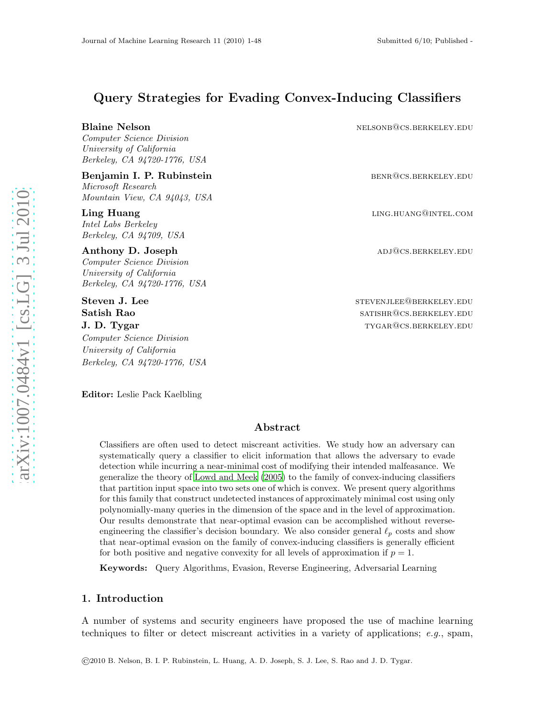# Query Strategies for Evading Convex-Inducing Classifiers

Blaine Nelson nelsonbox nelsonbox nelsonbox nelsonbox.berkeley.edu

Computer Science Division University of California Berkeley, CA 94720-1776, USA

Benjamin I. P. Rubinstein benrommen benroken benroken benroken benroken benroken benroken benroken benroken ben Microsoft Research Mountain View, CA 94043, USA

Intel Labs Berkeley Berkeley, CA 94709, USA

Anthony D. Joseph and the contract of the contract of the contract of the contract of the contract of the contract of the contract of the contract of the contract of the contract of the contract of the contract of the cont Computer Science Division University of California

Berkeley, CA 94720-1776, USA

Steven J. Lee steven and steven in the steven steven in the steven steven in the steven steven in the steven in the steven in the steven in the steven in the steven in the steven in the steven in the steven in the steven i Computer Science Division University of California Berkeley, CA 94720-1776, USA

Ling Huang and the community of the community of the community of the community of the community of the community of  $\mathbf{L}$  in  $\mathbf{L}$  in  $\mathbf{L}$  in  $\mathbf{L}$  in  $\mathbf{L}$  in  $\mathbf{L}$  in  $\mathbf{L}$  in  $\mathbf{L}$  in  $\mathbf{L}$ 

**Satish Rao satishrow SATISHR**@CS.BERKELEY.EDU **J. D. Tygar** the settlement of the settlement of the settlement of the settlement of the settlement of the settlement of the settlement of the settlement of the settlement of the settlement of the settlement of the settl

Editor: Leslie Pack Kaelbling

# Abstract

Classifiers are often used to detect miscreant activities. We study how an adversary can systematically query a classifier to elicit information that allows the adversary to evade detection while incurring a near-minimal cost of modifying their intended malfeasance. We generalize the theory of [Lowd and Meek \(2005\)](#page-26-0) to the family of convex-inducing classifiers that partition input space into two sets one of which is convex. We present query algorithms for this family that construct undetected instances of approximately minimal cost using only polynomially-many queries in the dimension of the space and in the level of approximation. Our results demonstrate that near-optimal evasion can be accomplished without reverseengineering the classifier's decision boundary. We also consider general  $\ell_p$  costs and show that near-optimal evasion on the family of convex-inducing classifiers is generally efficient for both positive and negative convexity for all levels of approximation if  $p = 1$ .

Keywords: Query Algorithms, Evasion, Reverse Engineering, Adversarial Learning

# 1. Introduction

A number of systems and security engineers have proposed the use of machine learning techniques to filter or detect miscreant activities in a variety of applications;  $e.q.$ , spam,

©2010 B. Nelson, B. I. P. Rubinstein, L. Huang, A. D. Joseph, S. J. Lee, S. Rao and J. D. Tygar.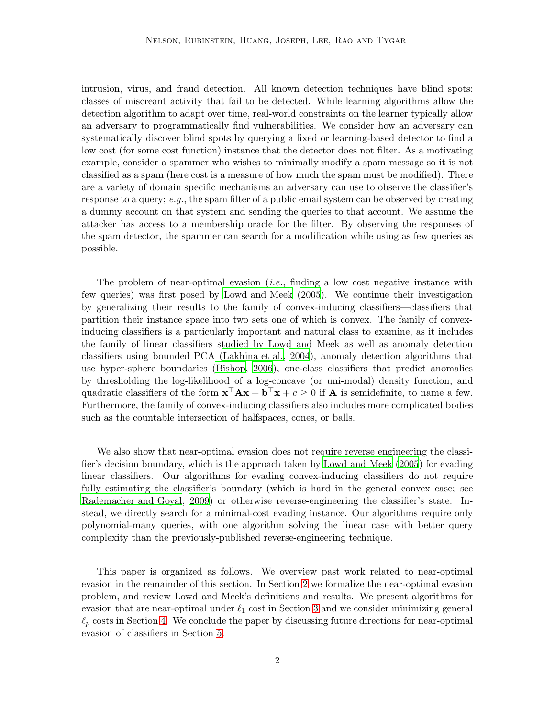intrusion, virus, and fraud detection. All known detection techniques have blind spots: classes of miscreant activity that fail to be detected. While learning algorithms allow the detection algorithm to adapt over time, real-world constraints on the learner typically allow an adversary to programmatically find vulnerabilities. We consider how an adversary can systematically discover blind spots by querying a fixed or learning-based detector to find a low cost (for some cost function) instance that the detector does not filter. As a motivating example, consider a spammer who wishes to minimally modify a spam message so it is not classified as a spam (here cost is a measure of how much the spam must be modified). There are a variety of domain specific mechanisms an adversary can use to observe the classifier's response to a query; e.g., the spam filter of a public email system can be observed by creating a dummy account on that system and sending the queries to that account. We assume the attacker has access to a membership oracle for the filter. By observing the responses of the spam detector, the spammer can search for a modification while using as few queries as possible.

The problem of near-optimal evasion  $(i.e.,$  finding a low cost negative instance with few queries) was first posed by [Lowd and Meek \(2005](#page-26-0)). We continue their investigation by generalizing their results to the family of convex-inducing classifiers—classifiers that partition their instance space into two sets one of which is convex. The family of convexinducing classifiers is a particularly important and natural class to examine, as it includes the family of linear classifiers studied by Lowd and Meek as well as anomaly detection classifiers using bounded PCA [\(Lakhina et al.](#page-25-0), [2004](#page-25-0)), anomaly detection algorithms that use hyper-sphere boundaries [\(Bishop, 2006](#page-25-1)), one-class classifiers that predict anomalies by thresholding the log-likelihood of a log-concave (or uni-modal) density function, and quadratic classifiers of the form  $\mathbf{x}^\top \mathbf{A} \mathbf{x} + \mathbf{b}^\top \mathbf{x} + c \geq 0$  if **A** is semidefinite, to name a few. Furthermore, the family of convex-inducing classifiers also includes more complicated bodies such as the countable intersection of halfspaces, cones, or balls.

We also show that near-optimal evasion does not require reverse engineering the classifier's decision boundary, which is the approach taken by Lowd [and Meek \(2005](#page-26-0)) for evading linear classifiers. Our algorithms for evading convex-inducing classifiers do not require fully estimating the classifier's boundary (which is hard in the general convex case; see [Rademacher and Goyal](#page-26-1), [2009\)](#page-26-1) or otherwise reverse-engineering the classifier's state. Instead, we directly search for a minimal-cost evading instance. Our algorithms require only polynomial-many queries, with one algorithm solving the linear case with better query complexity than the previously-published reverse-engineering technique.

This paper is organized as follows. We overview past work related to near-optimal evasion in the remainder of this section. In Section [2](#page-2-0) we formalize the near-optimal evasion problem, and review Lowd and Meek's definitions and results. We present algorithms for evasion that are near-optimal under  $\ell_1$  cost in Section [3](#page-7-0) and we consider minimizing general  $\ell_p$  costs in Section [4.](#page-19-0) We conclude the paper by discussing future directions for near-optimal evasion of classifiers in Section [5.](#page-24-0)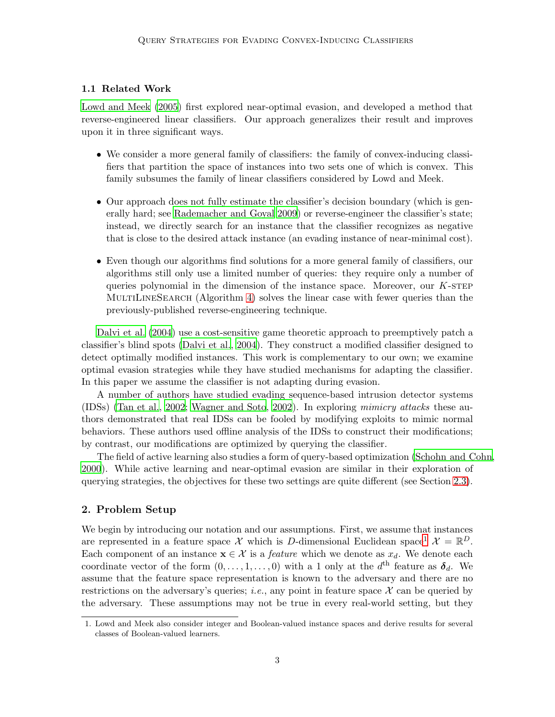# 1.1 Related Work

[Lowd and Meek \(2005](#page-26-0)) first explored near-optimal evasion, and developed a method that reverse-engineered linear classifiers. Our approach generalizes their result and improves upon it in three significant ways.

- We consider a more general family of classifiers: the family of convex-inducing classifiers that partition the space of instances into two sets one of which is convex. This family subsumes the family of linear classifiers considered by Lowd and Meek.
- Our approach does not fully estimate the classifier's decision boundary (which is generally hard; see [Rademacher and Goyal 2009\)](#page-26-1) or reverse-engineer the classifier's state; instead, we directly search for an instance that the classifier recognizes as negative that is close to the desired attack instance (an evading instance of near-minimal cost).
- Even though our algorithms find solutions for a more general family of classifiers, our algorithms still only use a limited number of queries: they require only a number of queries polynomial in the dimension of the instance space. Moreover, our  $K$ -step MULTILINESEARCH (Algorithm [4\)](#page-13-0) solves the linear case with fewer queries than the previously-published reverse-engineering technique.

[Dalvi et al. \(2004](#page-25-2)) use a cost-sensitive game theoretic approach to preemptively patch a classifier's blind spots [\(Dalvi et al., 2004](#page-25-2)). They construct a modified classifier designed to detect optimally modified instances. This work is complementary to our own; we examine optimal evasion strategies while they have studied mechanisms for adapting the classifier. In this paper we assume the classifier is not adapting during evasion.

A number of authors have studied evading sequence-based intrusion detector systems (IDSs) [\(Tan et al., 2002](#page-26-2); [Wagner and Soto, 2002](#page-26-3)). In exploring mimicry attacks these authors demonstrated that real IDSs can be fooled by modifying exploits to mimic normal behaviors. These authors used offline analysis of the IDSs to construct their modifications; by contrast, our modifications are optimized by querying the classifier.

The field of active learning also studies a form of query-based optimization [\(Schohn and Cohn](#page-26-4), [2000\)](#page-26-4). While active learning and near-optimal evasion are similar in their exploration of querying strategies, the objectives for these two settings are quite different (see Section [2.3\)](#page-5-0).

# <span id="page-2-0"></span>2. Problem Setup

We begin by introducing our notation and our assumptions. First, we assume that instances are represented in a feature space X which is D-dimensional Euclidean space<sup>[1](#page-2-1)</sup>  $\mathcal{X} = \mathbb{R}^D$ . Each component of an instance  $\mathbf{x} \in \mathcal{X}$  is a *feature* which we denote as  $x_d$ . We denote each coordinate vector of the form  $(0, \ldots, 1, \ldots, 0)$  with a 1 only at the  $d<sup>th</sup>$  feature as  $\delta_d$ . We assume that the feature space representation is known to the adversary and there are no restrictions on the adversary's queries; *i.e.*, any point in feature space  $\mathcal X$  can be queried by the adversary. These assumptions may not be true in every real-world setting, but they

<span id="page-2-1"></span><sup>1.</sup> Lowd and Meek also consider integer and Boolean-valued instance spaces and derive results for several classes of Boolean-valued learners.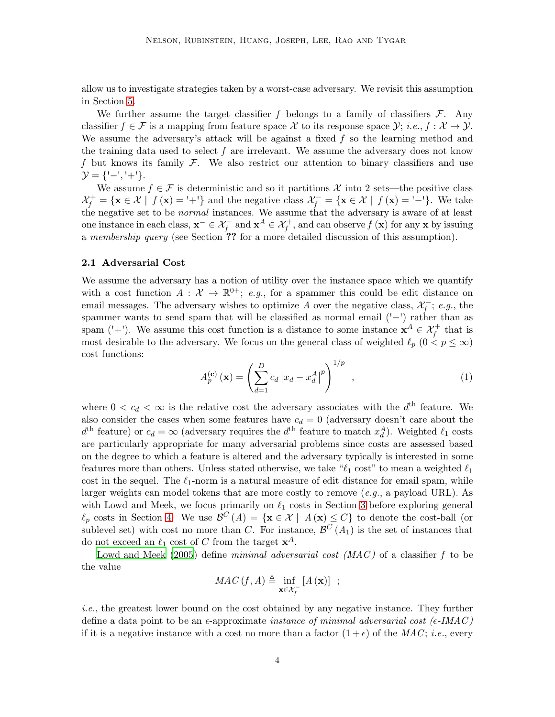allow us to investigate strategies taken by a worst-case adversary. We revisit this assumption in Section [5.](#page-24-0)

We further assume the target classifier f belongs to a family of classifiers  $\mathcal{F}$ . Any classifier  $f \in \mathcal{F}$  is a mapping from feature space X to its response space  $\mathcal{Y}$ ; i.e.,  $f : \mathcal{X} \to \mathcal{Y}$ . We assume the adversary's attack will be against a fixed  $f$  so the learning method and the training data used to select  $f$  are irrelevant. We assume the adversary does not know f but knows its family  $\mathcal F$ . We also restrict our attention to binary classifiers and use  $\mathcal{Y} = \{ ' - ', ' + ' \}.$ 

We assume  $f \in \mathcal{F}$  is deterministic and so it partitions X into 2 sets—the positive class  $\mathcal{X}_f^+ = \{ \mathbf{x} \in \mathcal{X} \mid f(\mathbf{x}) = \{^+ \} \}$  and the negative class  $\mathcal{X}_f^- = \{ \mathbf{x} \in \mathcal{X} \mid f(\mathbf{x}) = \{^+ \} \}$ . We take the negative set to be normal instances. We assume that the adversary is aware of at least one instance in each class,  $\mathbf{x}^- \in \mathcal{X}_f^-$  and  $\mathbf{x}^A \in \mathcal{X}_f^+$ , and can observe  $f(\mathbf{x})$  for any  $\mathbf{x}$  by issuing a membership query (see Section ?? for a more detailed discussion of this assumption).

#### 2.1 Adversarial Cost

We assume the adversary has a notion of utility over the instance space which we quantify with a cost function  $A: \mathcal{X} \to \mathbb{R}^{0+}$ ; e.g., for a spammer this could be edit distance on email messages. The adversary wishes to optimize A over the negative class,  $\mathcal{X}_f^-$ ; e.g., the spammer wants to send spam that will be classified as normal email ('−') rather than as spam ('+'). We assume this cost function is a distance to some instance  $x^A \in \mathcal{X}_f^+$  that is most desirable to the adversary. We focus on the general class of weighted  $\ell_p$   $(0 < p \leq \infty)$ cost functions:

<span id="page-3-0"></span>
$$
A_p^{(\mathbf{c})}\left(\mathbf{x}\right) = \left(\sum_{d=1}^D c_d \left|x_d - x_d^A\right|^p\right)^{1/p},\tag{1}
$$

where  $0 < c_d < \infty$  is the relative cost the adversary associates with the  $d<sup>th</sup>$  feature. We also consider the cases when some features have  $c_d = 0$  (adversary doesn't care about the  $d<sup>th</sup>$  feature) or  $c_d = \infty$  (adversary requires the  $d<sup>th</sup>$  feature to match  $x_d^A$ ). Weighted  $\ell_1$  costs are particularly appropriate for many adversarial problems since costs are assessed based on the degree to which a feature is altered and the adversary typically is interested in some features more than others. Unless stated otherwise, we take " $\ell_1$  cost" to mean a weighted  $\ell_1$ cost in the sequel. The  $\ell_1$ -norm is a natural measure of edit distance for email spam, while larger weights can model tokens that are more costly to remove  $(e.g.,$  a payload URL). As with Lowd and Meek, we focus primarily on  $\ell_1$  costs in Section [3](#page-7-0) before exploring general  $\ell_p$  costs in Section [4.](#page-19-0) We use  $\mathcal{B}^C(A) = \{ \mathbf{x} \in \mathcal{X} \mid A(\mathbf{x}) \leq C \}$  to denote the cost-ball (or sublevel set) with cost no more than C. For instance,  $\mathcal{B}^C(A_1)$  is the set of instances that do not exceed an  $\ell_1$  cost of C from the target  $\mathbf{x}^A$ .

[Lowd and Meek \(2005](#page-26-0)) define minimal adversarial cost  $(MAC)$  of a classifier f to be the value

$$
MAC\left(f, A\right) \triangleq \inf_{\mathbf{x} \in \mathcal{X}_f^-} \left[A\left(\mathbf{x}\right)\right] ;
$$

i.e., the greatest lower bound on the cost obtained by any negative instance. They further define a data point to be an  $\epsilon$ -approximate *instance of minimal adversarial cost* ( $\epsilon$ -IMAC) if it is a negative instance with a cost no more than a factor  $(1+\epsilon)$  of the MAC; *i.e.*, every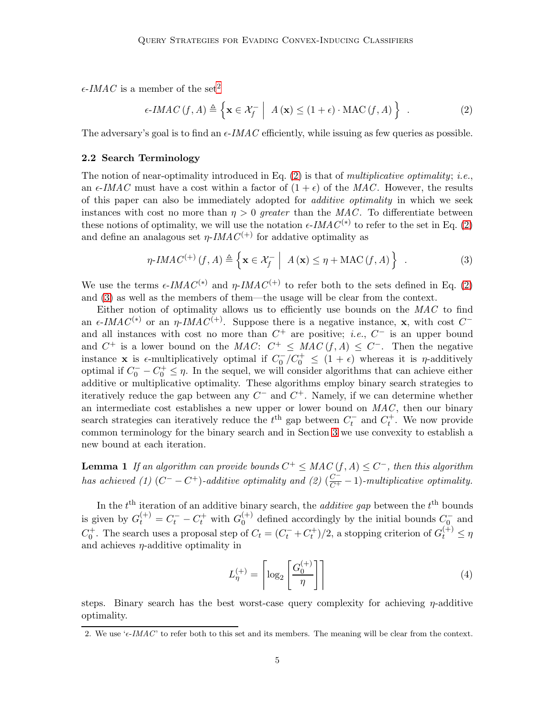$\epsilon$ -IMAC is a member of the set<sup>[2](#page-4-0)</sup>

<span id="page-4-1"></span>
$$
\epsilon\text{-}IMAC(f, A) \triangleq \left\{ \mathbf{x} \in \mathcal{X}_f^- \middle| A(\mathbf{x}) \le (1 + \epsilon) \cdot \text{MAC}(f, A) \right\} \ . \tag{2}
$$

<span id="page-4-3"></span>The adversary's goal is to find an  $\epsilon$ -*IMAC* efficiently, while issuing as few queries as possible.

### 2.2 Search Terminology

The notion of near-optimality introduced in Eq.  $(2)$  is that of *multiplicative optimality*; *i.e.*, an  $\epsilon$ -IMAC must have a cost within a factor of  $(1 + \epsilon)$  of the MAC. However, the results of this paper can also be immediately adopted for *additive optimality* in which we seek instances with cost no more than  $\eta > 0$  greater than the MAC. To differentiate between these notions of optimality, we will use the notation  $\epsilon$ -IMAC<sup>(\*)</sup> to refer to the set in Eq. [\(2\)](#page-4-1) and define an analagous set  $\eta$ -*IMAC*<sup>(+)</sup> for addative optimality as

<span id="page-4-2"></span>
$$
\eta\text{-}IMAC^{(+)}(f,A) \triangleq \left\{ \mathbf{x} \in \mathcal{X}_f^- \middle| A(\mathbf{x}) \leq \eta + \text{MAC}(f,A) \right\} \tag{3}
$$

We use the terms  $\epsilon$ -IMAC<sup>(\*)</sup> and  $\eta$ -IMAC<sup>(+)</sup> to refer both to the sets defined in Eq. [\(2\)](#page-4-1) and [\(3\)](#page-4-2) as well as the members of them—the usage will be clear from the context.

Either notion of optimality allows us to efficiently use bounds on the  $MAC$  to find an  $\epsilon$ -IMAC<sup>(\*)</sup> or an  $\eta$ -IMAC<sup>(+)</sup>. Suppose there is a negative instance, **x**, with cost C<sup>-</sup> and all instances with cost no more than  $C^+$  are positive; *i.e.*,  $C^-$  is an upper bound and  $C^+$  is a lower bound on the MAC:  $C^+ \leq MAC(f, A) \leq C^-$ . Then the negative instance **x** is  $\epsilon$ -multiplicatively optimal if  $C_0^-/C_0^+ \leq (1+\epsilon)$  whereas it is  $\eta$ -additively optimal if  $C_0^- - C_0^+ \leq \eta$ . In the sequel, we will consider algorithms that can achieve either additive or multiplicative optimality. These algorithms employ binary search strategies to iteratively reduce the gap between any  $C^-$  and  $C^+$ . Namely, if we can determine whether an intermediate cost establishes a new upper or lower bound on  $MAC$ , then our binary search strategies can iteratively reduce the  $t<sup>th</sup>$  gap between  $C_t^-$  and  $C_t^+$ . We now provide common terminology for the binary search and in Section [3](#page-7-0) we use convexity to establish a new bound at each iteration.

**Lemma 1** If an algorithm can provide bounds  $C^+ \leq MAC(f, A) \leq C^-$ , then this algorithm has achieved (1)  $(C^- - C^+)$ -additive optimality and (2)  $(\frac{C^-}{C^+} - 1)$ -multiplicative optimality.

In the  $t<sup>th</sup>$  iteration of an additive binary search, the *additive gap* between the  $t<sup>th</sup>$  bounds is given by  $G_t^{(+)} = C_t^- - C_t^+$  with  $G_0^{(+)}$  $_0^{(+)}$  defined accordingly by the initial bounds  $C_{0}^-$  and  $C_0^+$ . The search uses a proposal step of  $C_t = (C_t^- + C_t^+)/2$ , a stopping criterion of  $G_t^{(+)} \leq \eta$ and achieves  $\eta$ -additive optimality in

<span id="page-4-4"></span>
$$
L_{\eta}^{(+)} = \left\lceil \log_2 \left[ \frac{G_0^{(+)}}{\eta} \right] \right\rceil \tag{4}
$$

steps. Binary search has the best worst-case query complexity for achieving  $\eta$ -additive optimality.

<span id="page-4-0"></span><sup>2.</sup> We use ' $\epsilon$ -IMAC' to refer both to this set and its members. The meaning will be clear from the context.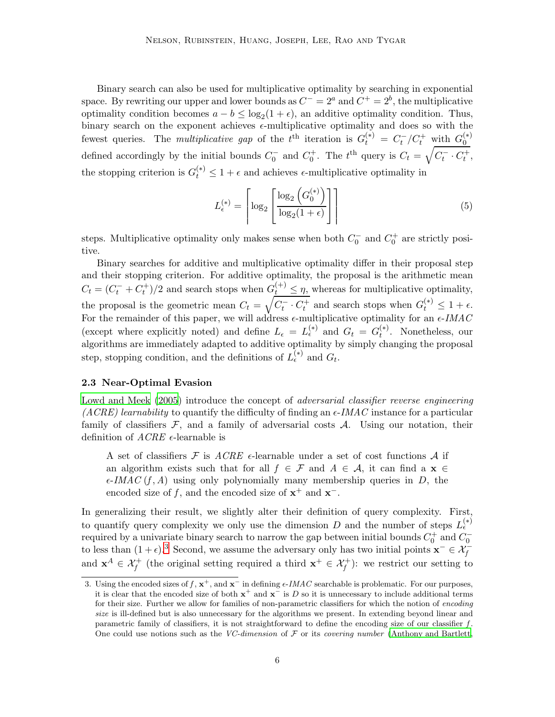Binary search can also be used for multiplicative optimality by searching in exponential space. By rewriting our upper and lower bounds as  $C^- = 2^a$  and  $C^+ = 2^b$ , the multiplicative optimality condition becomes  $a - b \leq \log_2(1 + \epsilon)$ , an additive optimality condition. Thus, binary search on the exponent achieves  $\epsilon$ -multiplicative optimality and does so with the fewest queries. The multiplicative gap of the  $t^{\text{th}}$  iteration is  $G_t^{(*)} = C_t^-/C_t^+$  with  $G_0^{(*)}$  $\overline{0}$ defined accordingly by the initial bounds  $C_0^-$  and  $C_0^+$ . The  $t^{\text{th}}$  query is  $C_t = \sqrt{C_t^- \cdot C_t^+}$ , the stopping criterion is  $G_t^{(*)} \leq 1 + \epsilon$  and achieves  $\epsilon$ -multiplicative optimality in

<span id="page-5-2"></span>
$$
L_{\epsilon}^{(*)} = \left\lceil \log_2 \left( \frac{\log_2 \left( G_0^{(*)} \right)}{\log_2 \left( 1 + \epsilon \right)} \right) \right\rceil \tag{5}
$$

steps. Multiplicative optimality only makes sense when both  $C_0^-$  and  $C_0^+$  are strictly positive.

Binary searches for additive and multiplicative optimality differ in their proposal step and their stopping criterion. For additive optimality, the proposal is the arithmetic mean  $C_t = (C_t^- + C_t^+)/2$  and search stops when  $G_t^{(+)} \leq \eta$ , whereas for multiplicative optimality, the proposal is the geometric mean  $C_t = \sqrt{C_t^{\text{-}} \cdot C_t^+}$  and search stops when  $G_t^{(*)} \leq 1 + \epsilon$ . For the remainder of this paper, we will address  $\epsilon$ -multiplicative optimality for an  $\epsilon$ -IMAC (except where explicitly noted) and define  $L_{\epsilon} = L_{\epsilon}^{(*)}$  and  $G_t = G_t^{(*)}$  $t^{(*)}$ . Nonetheless, our algorithms are immediately adapted to additive optimality by simply changing the proposal step, stopping condition, and the definitions of  $L_{\epsilon}^{(*)}$  and  $G_t$ .

### <span id="page-5-0"></span>2.3 Near-Optimal Evasion

[Lowd and Meek \(2005](#page-26-0)) introduce the concept of *adversarial classifier reverse engineering* (ACRE) learnability to quantify the difficulty of finding an  $\epsilon$ -IMAC instance for a particular family of classifiers  $\mathcal{F}$ , and a family of adversarial costs  $\mathcal{A}$ . Using our notation, their definition of  $ACRE$   $\epsilon$ -learnable is

A set of classifiers F is ACRE  $\epsilon$ -learnable under a set of cost functions A if an algorithm exists such that for all  $f \in \mathcal{F}$  and  $A \in \mathcal{A}$ , it can find a  $\mathbf{x} \in \mathcal{F}$  $\epsilon$ -IMAC (f, A) using only polynomially many membership queries in D, the encoded size of f, and the encoded size of  $x^+$  and  $x^-$ .

In generalizing their result, we slightly alter their definition of query complexity. First, to quantify query complexity we only use the dimension D and the number of steps  $L_{\epsilon}^{(*)}$ required by a univariate binary search to narrow the gap between initial bounds  $C_0^+$  and  $C_0^$ to less than  $(1 + \epsilon)$ .<sup>[3](#page-5-1)</sup> Second, we assume the adversary only has two initial points  $\mathbf{x}^- \in \mathcal{X}_f^$ and  $\mathbf{x}^A \in \mathcal{X}_f^+$  (the original setting required a third  $\mathbf{x}^+ \in \mathcal{X}_f^+$ ): we restrict our setting to

<span id="page-5-1"></span><sup>3.</sup> Using the encoded sizes of f,  $x^+$ , and  $x^-$  in defining  $\epsilon$ -IMAC searchable is problematic. For our purposes, it is clear that the encoded size of both  $x^+$  and  $x^-$  is D so it is unnecessary to include additional terms for their size. Further we allow for families of non-parametric classifiers for which the notion of encoding size is ill-defined but is also unnecessary for the algorithms we present. In extending beyond linear and parametric family of classifiers, it is not straightforward to define the encoding size of our classifier  $f$ . One could use notions such as the VC-dimension of  $\mathcal F$  or its covering number [\(Anthony and Bartlett](#page-25-3),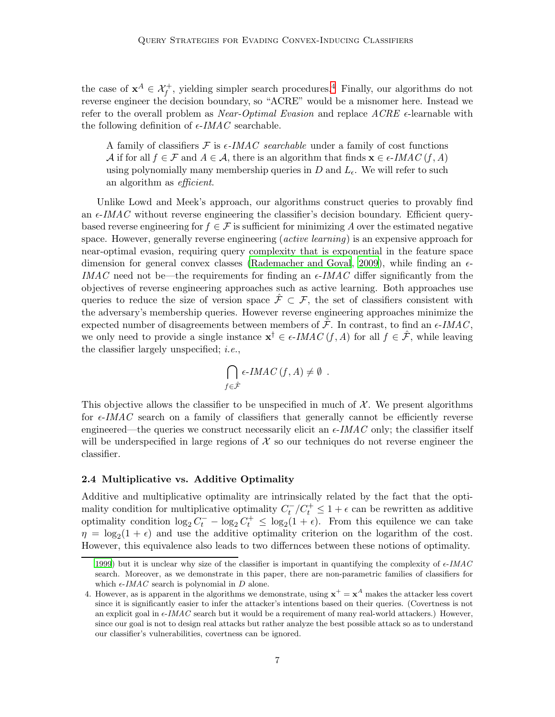the case of  $\mathbf{x}^A \in \mathcal{X}_f^+$ , yielding simpler search procedures.<sup>[4](#page-6-0)</sup> Finally, our algorithms do not reverse engineer the decision boundary, so "ACRE" would be a misnomer here. Instead we refer to the overall problem as *Near-Optimal Evasion* and replace  $ACRE$   $\epsilon$ -learnable with the following definition of  $\epsilon$ -IMAC searchable.

A family of classifiers  $\mathcal F$  is  $\epsilon$ -*IMAC searchable* under a family of cost functions A if for all  $f \in \mathcal{F}$  and  $A \in \mathcal{A}$ , there is an algorithm that finds  $\mathbf{x} \in \epsilon\text{-}IMAC(f, A)$ using polynomially many membership queries in D and  $L_{\epsilon}$ . We will refer to such an algorithm as efficient.

Unlike Lowd and Meek's approach, our algorithms construct queries to provably find an  $\epsilon$ -IMAC without reverse engineering the classifier's decision boundary. Efficient querybased reverse engineering for  $f \in \mathcal{F}$  is sufficient for minimizing A over the estimated negative space. However, generally reverse engineering (*active learning*) is an expensive approach for near-optimal evasion, requiring query complexity that is exponential in the feature space dimension for general convex classes [\(Rademacher and Goyal, 2009](#page-26-1)), while finding an  $\epsilon$ -IMAC need not be—the requirements for finding an  $\epsilon$ -IMAC differ significantly from the objectives of reverse engineering approaches such as active learning. Both approaches use queries to reduce the size of version space  $\mathcal{F} \subset \mathcal{F}$ , the set of classifiers consistent with the adversary's membership queries. However reverse engineering approaches minimize the expected number of disagreements between members of  $\hat{\mathcal{F}}$ . In contrast, to find an  $\epsilon$ -*IMAC*, we only need to provide a single instance  $\mathbf{x}^{\dagger} \in \epsilon\text{-}IMAC(f, A)$  for all  $f \in \hat{\mathcal{F}}$ , while leaving the classifier largely unspecified; i.e.,

$$
\bigcap_{f \in \hat{\mathcal{F}}} \epsilon\text{-}IMAC\left(f, A\right) \neq \emptyset .
$$

This objective allows the classifier to be unspecified in much of  $\mathcal{X}$ . We present algorithms for  $\epsilon$ -IMAC search on a family of classifiers that generally cannot be efficiently reverse engineered—the queries we construct necessarily elicit an  $\epsilon$ -*IMAC* only; the classifier itself will be underspecified in large regions of  $\mathcal X$  so our techniques do not reverse engineer the classifier.

#### 2.4 Multiplicative vs. Additive Optimality

Additive and multiplicative optimality are intrinsically related by the fact that the optimality condition for multiplicative optimality  $C_t^-/C_t^+ \leq 1 + \epsilon$  can be rewritten as additive optimality condition  $\log_2 C_t^- - \log_2 C_t^+ \leq \log_2(1+\epsilon)$ . From this equilence we can take  $\eta = \log_2(1 + \epsilon)$  and use the additive optimality criterion on the logarithm of the cost. However, this equivalence also leads to two differnces between these notions of optimality.

[<sup>1999</sup>](#page-25-3)) but it is unclear why size of the classifier is important in quantifying the complexity of  $\epsilon$ -IMAC search. Moreover, as we demonstrate in this paper, there are non-parametric families of classifiers for which  $\epsilon$ -IMAC search is polynomial in D alone.

<span id="page-6-0"></span><sup>4.</sup> However, as is apparent in the algorithms we demonstrate, using  $x^+ = x^A$  makes the attacker less covert since it is significantly easier to infer the attacker's intentions based on their queries. (Covertness is not an explicit goal in  $\epsilon$ -IMAC search but it would be a requirement of many real-world attackers.) However, since our goal is not to design real attacks but rather analyze the best possible attack so as to understand our classifier's vulnerabilities, covertness can be ignored.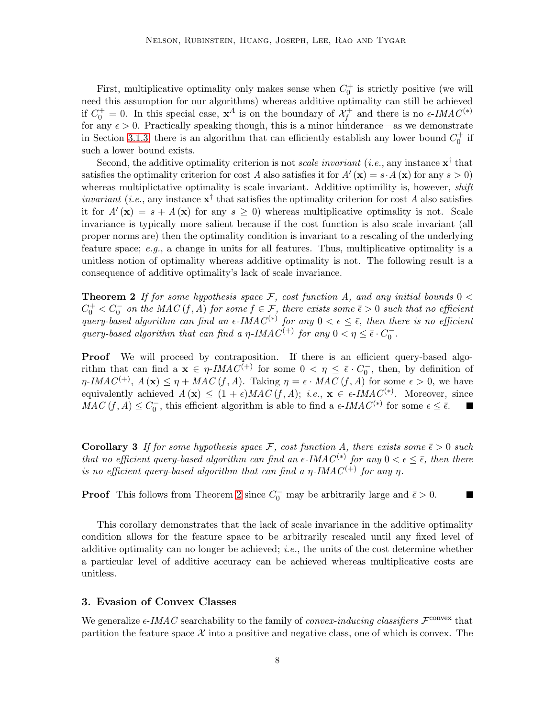First, multiplicative optimality only makes sense when  $C_0^+$  is strictly positive (we will need this assumption for our algorithms) whereas additive optimality can still be achieved if  $C_0^+ = 0$ . In this special case,  $\mathbf{x}^A$  is on the boundary of  $\mathcal{X}_f^+$  and there is no  $\epsilon$ -IMAC<sup>(\*)</sup> for any  $\epsilon > 0$ . Practically speaking though, this is a minor hinderance—as we demonstrate in Section [3.1.3,](#page-14-0) there is an algorithm that can efficiently establish any lower bound  $C_0^+$  if such a lower bound exists.

Second, the additive optimality criterion is not *scale invariant* (*i.e.*, any instance  $\mathbf{x}^{\dagger}$  that satisfies the optimality criterion for cost A also satisfies it for  $A'(\mathbf{x}) = s \cdot A(\mathbf{x})$  for any  $s > 0$ ) whereas multiplictative optimality is scale invariant. Additive optimility is, however, *shift invariant* (*i.e.*, any instance  $\mathbf{x}^{\dagger}$  that satisfies the optimality criterion for cost A also satisfies it for  $A'(\mathbf{x}) = s + A(\mathbf{x})$  for any  $s \geq 0$ ) whereas multiplicative optimality is not. Scale invariance is typically more salient because if the cost function is also scale invariant (all proper norms are) then the optimality condition is invariant to a rescaling of the underlying feature space;  $e.g.,$  a change in units for all features. Thus, multiplicative optimality is a unitless notion of optimality whereas additive optimality is not. The following result is a consequence of additive optimality's lack of scale invariance.

<span id="page-7-1"></span>**Theorem 2** If for some hypothesis space F, cost function A, and any initial bounds  $0 <$  $C_0^+ < C_0^-$  on the MAC  $(f, A)$  for some  $f \in \mathcal{F}$ , there exists some  $\bar{\epsilon} > 0$  such that no efficient query-based algorithm can find an  $\epsilon$ -IMAC<sup>(\*)</sup> for any  $0 < \epsilon \leq \bar{\epsilon}$ , then there is no efficient query-based algorithm that can find a  $\eta$ -IMAC<sup>(+)</sup> for any  $0 < \eta \leq \bar{\epsilon} \cdot C_0^-$ .

Proof We will proceed by contraposition. If there is an efficient query-based algorithm that can find a  $\mathbf{x} \in \eta$ -*IMAC*<sup>(+)</sup> for some  $0 < \eta \leq \bar{\epsilon} \cdot C_0^-$ , then, by definition of  $\eta$ -IMAC<sup>(+)</sup>,  $A(\mathbf{x}) \leq \eta + MAC(f, A)$ . Taking  $\eta = \epsilon \cdot MAC(f, A)$  for some  $\epsilon > 0$ , we have equivalently achieved  $A(\mathbf{x}) \leq (1+\epsilon)MAC(f, A); i.e., \mathbf{x} \in \epsilon\text{-}IMAC^{(*)}$ . Moreover, since  $MAC(f, A) \leq C_0^-$ , this efficient algorithm is able to find a  $\epsilon$ -IMAC<sup>(\*)</sup> for some  $\epsilon \leq \bar{\epsilon}$ .

**Corollary 3** If for some hypothesis space F, cost function A, there exists some  $\bar{\epsilon} > 0$  such that no efficient query-based algorithm can find an  $\epsilon$ -IMAC<sup>(\*)</sup> for any  $0 < \epsilon \leq \bar{\epsilon}$ , then there is no efficient query-based algorithm that can find a  $\eta$ -IMAC<sup>(+)</sup> for any  $\eta$ .

**Proof** This follows from Theorem [2](#page-7-1) since  $C_0^-$  may be arbitrarily large and  $\bar{\epsilon} > 0$ .

 $\blacksquare$ 

This corollary demonstrates that the lack of scale invariance in the additive optimality condition allows for the feature space to be arbitrarily rescaled until any fixed level of additive optimality can no longer be achieved; i.e., the units of the cost determine whether a particular level of additive accuracy can be achieved whereas multiplicative costs are unitless.

# <span id="page-7-0"></span>3. Evasion of Convex Classes

We generalize  $\epsilon$ -IMAC searchability to the family of *convex-inducing classifiers*  $\mathcal{F}^{\text{convex}}$  that partition the feature space  $\mathcal X$  into a positive and negative class, one of which is convex. The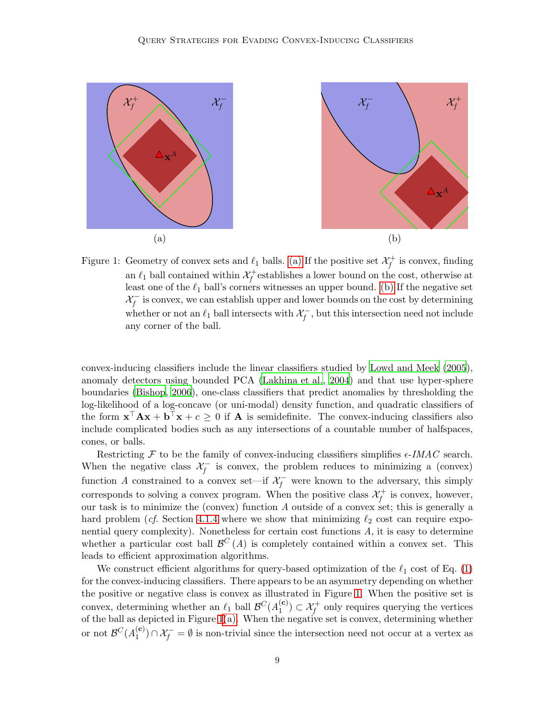

<span id="page-8-2"></span><span id="page-8-1"></span><span id="page-8-0"></span>Figure 1: Geometry of convex sets and  $\ell_1$  balls. [\(a\)](#page-8-0) If the positive set  $\mathcal{X}_f^+$  is convex, finding an  $\ell_1$  ball contained within  $\mathcal{X}_f^+$  establishes a lower bound on the cost, otherwise at least one of the  $\ell_1$  ball's corners witnesses an upper bound. [\(b\)](#page-8-1) If the negative set  $\mathcal{X}^-_f$  is convex, we can establish upper and lower bounds on the cost by determining whether or not an  $\ell_1$  ball intersects with  $\mathcal{X}^-_f$ , but this intersection need not include any corner of the ball.

convex-inducing classifiers include the linear classifiers studied by [Lowd and Meek \(2005](#page-26-0)), anomaly detectors using bounded PCA [\(Lakhina et al.](#page-25-0), [2004](#page-25-0)) and that use hyper-sphere boundaries [\(Bishop, 2006](#page-25-1)), one-class classifiers that predict anomalies by thresholding the log-likelihood of a log-concave (or uni-modal) density function, and quadratic classifiers of the form  $\mathbf{x}^\top \mathbf{A} \mathbf{x} + \mathbf{b}^\top \mathbf{x} + c \geq 0$  if **A** is semidefinite. The convex-inducing classifiers also include complicated bodies such as any intersections of a countable number of halfspaces, cones, or balls.

Restricting F to be the family of convex-inducing classifiers simplifies  $\epsilon$ -IMAC search. When the negative class  $\mathcal{X}^-_f$  is convex, the problem reduces to minimizing a (convex) function A constrained to a convex set—if  $\mathcal{X}^-_f$  were known to the adversary, this simply corresponds to solving a convex program. When the positive class  $\mathcal{X}_f^+$  is convex, however, our task is to minimize the (convex) function A outside of a convex set; this is generally a hard problem (cf. Section [4.1.4](#page-23-0) where we show that minimizing  $\ell_2$  cost can require exponential query complexity). Nonetheless for certain cost functions A, it is easy to determine whether a particular cost ball  $\mathcal{B}^C(A)$  is completely contained within a convex set. This leads to efficient approximation algorithms.

We construct efficient algorithms for query-based optimization of the  $\ell_1$  cost of Eq. [\(1\)](#page-3-0) for the convex-inducing classifiers. There appears to be an asymmetry depending on whether the positive or negative class is convex as illustrated in Figure [1.](#page-8-2) When the positive set is convex, determining whether an  $\ell_1$  ball  $\mathcal{B}^C(A_1^{(\mathbf{c})})$  $\mathcal{X}_1^{(c)}$   $\subset$   $\mathcal{X}_f^+$  only requires querying the vertices of the ball as depicted in Figure [1](#page-8-2)[\(a\).](#page-8-0) When the negative set is convex, determining whether or not  $\mathcal{B}^C(A_1^{(\mathbf{c})})$  $\mathcal{A}_{1}^{(c)} \cap \mathcal{X}_{f}^{-} = \emptyset$  is non-trivial since the intersection need not occur at a vertex as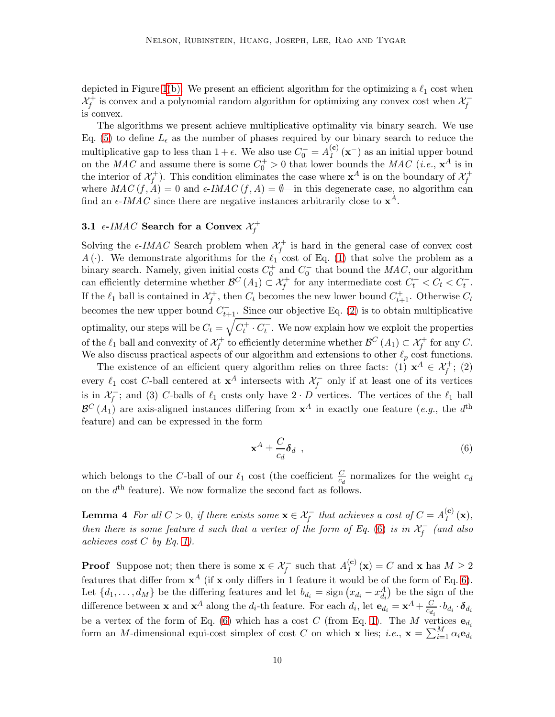depicted in Figure [1](#page-8-2)[\(b\).](#page-8-1) We present an efficient algorithm for the optimizing a  $\ell_1$  cost when  $\mathcal{X}_f^+$  is convex and a polynomial random algorithm for optimizing any convex cost when  $\mathcal{X}_f^$ is convex.

The algorithms we present achieve multiplicative optimality via binary search. We use Eq. [\(5\)](#page-5-2) to define  $L_{\epsilon}$  as the number of phases required by our binary search to reduce the multiplicative gap to less than  $1 + \epsilon$ . We also use  $C_0^- = A_t^{(c)}$  $\binom{c}{1}$  (**x**<sup>-</sup>) as an initial upper bound on the MAC and assume there is some  $C_0^+ > 0$  that lower bounds the MAC (*i.e.*,  $\mathbf{x}^A$  is in the interior of  $\mathcal{X}_f^+$ ). This condition eliminates the case where  $\mathbf{x}^A$  is on the boundary of  $\mathcal{X}_f^+$ where  $MAC(f, A) = 0$  and  $\epsilon$ -*IMAC*  $(f, A) = \emptyset$ —in this degenerate case, no algorithm can find an  $\epsilon$ -IMAC since there are negative instances arbitrarily close to  $\mathbf{x}^A$ .

# <span id="page-9-1"></span>3.1  $\epsilon$ -IMAC Search for a Convex  $\mathcal{X}_{f}^{+}$

Solving the  $\epsilon$ -IMAC Search problem when  $\mathcal{X}_f^+$  is hard in the general case of convex cost A(.). We demonstrate algorithms for the  $\ell_1$  cost of Eq. [\(1\)](#page-3-0) that solve the problem as a binary search. Namely, given initial costs  $C_0^+$  and  $C_0^-$  that bound the  $MAC$ , our algorithm can efficiently determine whether  $\mathcal{B}^C(A_1) \subset \mathcal{X}_f^+$  for any intermediate cost  $C_t^+ < C_t < C_t^-$ . If the  $\ell_1$  ball is contained in  $\mathcal{X}_f^+$ , then  $C_t$  becomes the new lower bound  $C_{t+1}^+$ . Otherwise  $C_t$ becomes the new upper bound  $C_{t+1}^-$ . Since our objective Eq. [\(2\)](#page-4-1) is to obtain multiplicative optimality, our steps will be  $C_t = \sqrt{C_t^+ \cdot C_t^-}$ . We now explain how we exploit the properties of the  $\ell_1$  ball and convexity of  $\mathcal{X}_f^+$  to efficiently determine whether  $\mathcal{B}^C(A_1) \subset \mathcal{X}_f^+$  for any  $C$ . We also discuss practical aspects of our algorithm and extensions to other  $\ell_p$  cost functions.

The existence of an efficient query algorithm relies on three facts: (1)  $x^A \in \mathcal{X}_f^+$ ; (2) every  $\ell_1$  cost C-ball centered at  $\mathbf{x}^A$  intersects with  $\mathcal{X}^-_f$  only if at least one of its vertices is in  $\mathcal{X}_f^-$ ; and (3) C-balls of  $\ell_1$  costs only have  $2 \cdot D$  vertices. The vertices of the  $\ell_1$  ball  $\mathcal{B}^C(A_1)$  are axis-aligned instances differing from  $\mathbf{x}^A$  in exactly one feature (*e.g.*, the  $d^{\text{th}}$ feature) and can be expressed in the form

<span id="page-9-0"></span>
$$
\mathbf{x}^A \pm \frac{C}{c_d} \boldsymbol{\delta}_d \quad , \tag{6}
$$

which belongs to the C-ball of our  $\ell_1$  cost (the coefficient  $\frac{C}{c_d}$  normalizes for the weight  $c_d$ on the  $d<sup>th</sup>$  feature). We now formalize the second fact as follows.

**Lemma 4** For all  $C > 0$ , if there exists some  $\mathbf{x} \in \mathcal{X}_f^-$  that achieves a cost of  $C = A_f^{(c)}$  $I_{1}^{(\mathbf{c})}(\mathbf{x}),$ then there is some feature d such that a vertex of the form of Eq. [\(6\)](#page-9-0) is in  $\mathcal{X}^-_f$  (and also achieves cost  $C$  by Eq. [1\)](#page-3-0).

**Proof** Suppose not; then there is some  $\mathbf{x} \in \mathcal{X}_f^-$  such that  $A_1^{(c)}$  $\mathcal{L}_1^{(c)}(\mathbf{x}) = C$  and **x** has  $M \geq 2$ features that differ from  $x^A$  (if x only differs in 1 feature it would be of the form of Eq. [6\)](#page-9-0). Let  $\{d_1, \ldots, d_M\}$  be the differing features and let  $b_{d_i} = \text{sign}(x_{d_i} - x_{d_i}^A)$  be the sign of the difference between **x** and  $\mathbf{x}^A$  along the  $d_i$ -th feature. For each  $d_i$ , let  $\mathbf{e}_{d_i} = \mathbf{x}^A + \frac{C}{c_d}$  $\frac{C}{c_{d_i}}\cdot b_{d_i}\cdot\boldsymbol{\delta}_{d_i}$ be a vertex of the form of Eq. [\(6\)](#page-9-0) which has a cost C (from Eq. [1\)](#page-3-0). The M vertices  $e_{d_i}$ form an *M*-dimensional equi-cost simplex of cost *C* on which **x** lies; *i.e.*,  $\mathbf{x} = \sum_{i=1}^{M} \alpha_i \mathbf{e}_{d_i}$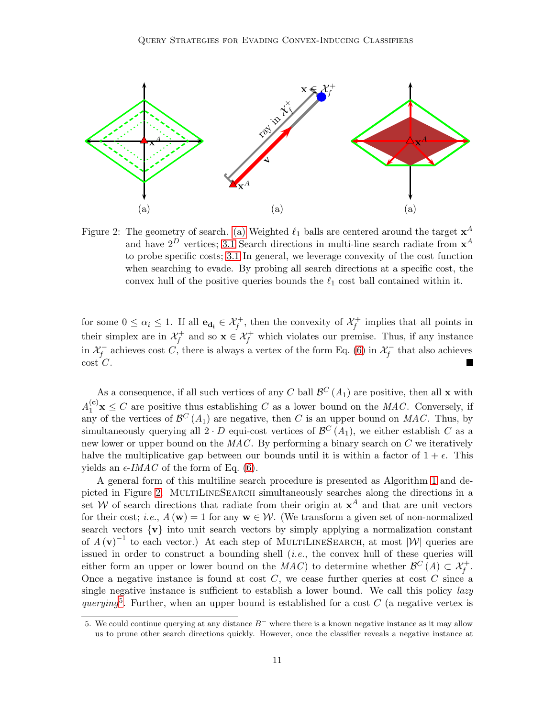

<span id="page-10-1"></span><span id="page-10-0"></span>Figure 2: The geometry of search. [\(a\)](#page-10-0) Weighted  $\ell_1$  balls are centered around the target  $\mathbf{x}^A$ and have  $2^D$  vertices; [3.1](#page-10-0) Search directions in multi-line search radiate from  $x^A$ to probe specific costs; [3.1](#page-10-0) In general, we leverage convexity of the cost function when searching to evade. By probing all search directions at a specific cost, the convex hull of the positive queries bounds the  $\ell_1$  cost ball contained within it.

for some  $0 \leq \alpha_i \leq 1$ . If all  $\mathbf{e}_{\mathbf{d_i}} \in \mathcal{X}_f^+$ , then the convexity of  $\mathcal{X}_f^+$  implies that all points in their simplex are in  $\mathcal{X}_f^+$  and so  $\mathbf{x} \in \mathcal{X}_f^+$  which violates our premise. Thus, if any instance in  $\mathcal{X}^-_f$  achieves cost C, there is always a vertex of the form Eq. [\(6\)](#page-9-0) in  $\mathcal{X}^-_f$  that also achieves  $\cot C$ .

As a consequence, if all such vertices of any C ball  $\mathcal{B}^C(A_1)$  are positive, then all **x** with  $A_1^{(c)}\mathbf{x} \leq C$  are positive thus establishing C as a lower bound on the MAC. Conversely, if any of the vertices of  $\mathcal{B}^C(A_1)$  are negative, then C is an upper bound on MAC. Thus, by simultaneously querying all  $2 \cdot D$  equi-cost vertices of  $\mathcal{B}^C(A_1)$ , we either establish C as a new lower or upper bound on the MAC. By performing a binary search on C we iteratively halve the multiplicative gap between our bounds until it is within a factor of  $1 + \epsilon$ . This yields an  $\epsilon$ -*IMAC* of the form of Eq. [\(6\)](#page-9-0).

A general form of this multiline search procedure is presented as Algorithm [1](#page-12-0) and de-picted in Figure [2.](#page-10-1) MULTILINESEARCH simultaneously searches along the directions in a set W of search directions that radiate from their origin at  $x^A$  and that are unit vectors for their cost; *i.e.*,  $A(\mathbf{w}) = 1$  for any  $\mathbf{w} \in \mathcal{W}$ . (We transform a given set of non-normalized search vectors  $\{v\}$  into unit search vectors by simply applying a normalization constant of  $A(\mathbf{v})^{-1}$  to each vector.) At each step of MULTILINESEARCH, at most  $|\mathcal{W}|$  queries are issued in order to construct a bounding shell  $(i.e.,$  the convex hull of these queries will either form an upper or lower bound on the  $MAC$ ) to determine whether  $\mathcal{B}^C(A) \subset \mathcal{X}^+_f$ . Once a negative instance is found at cost  $C$ , we cease further queries at cost  $C$  since a single negative instance is sufficient to establish a lower bound. We call this policy lazy querying<sup>[5](#page-10-2)</sup>. Further, when an upper bound is established for a cost  $C$  (a negative vertex is

<span id="page-10-2"></span><sup>5.</sup> We could continue querying at any distance  $B^-$  where there is a known negative instance as it may allow us to prune other search directions quickly. However, once the classifier reveals a negative instance at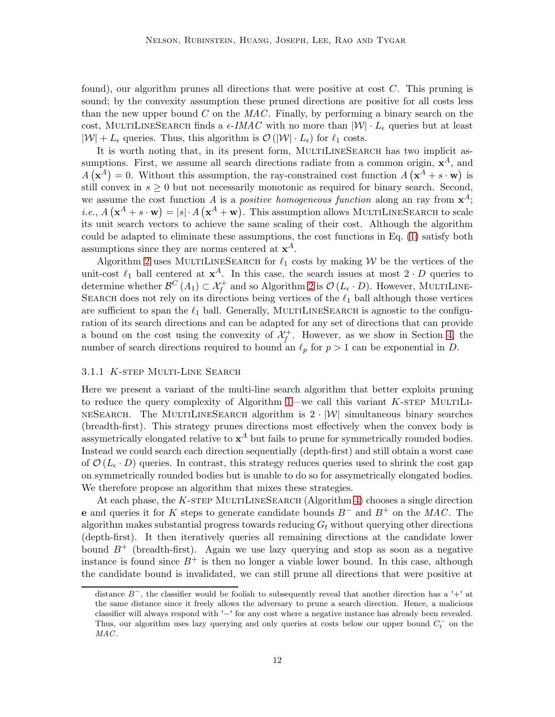found), our algorithm prunes all directions that were positive at cost C. This pruning is sound; by the convexity assumption these pruned directions are positive for all costs less than the new upper bound  $C$  on the  $MAC$ . Finally, by performing a binary search on the cost, MULTILINESEARCH finds a  $\epsilon$ -*IMAC* with no more than  $|W| \cdot L_{\epsilon}$  queries but at least  $|\mathcal{W}| + L_{\epsilon}$  queries. Thus, this algorithm is  $\mathcal{O}(|\mathcal{W}| \cdot L_{\epsilon})$  for  $\ell_1$  costs.

It is worth noting that, in its present form, MULTILINESEARCH has two implicit assumptions. First, we assume all search directions radiate from a common origin,  $x^A$ , and  $A(\mathbf{x}^A) = 0$ . Without this assumption, the ray-constrained cost function  $A(\mathbf{x}^A + s \cdot \mathbf{w})$  is still convex in  $s \geq 0$  but not necessarily monotonic as required for binary search. Second, we assume the cost function A is a *positive homogeneous function* along an ray from  $x^A$ ; *i.e.*,  $A(\mathbf{x}^A + s \cdot \mathbf{w}) = |s| \cdot A(\mathbf{x}^A + \mathbf{w})$ . This assumption allows MULTILINESEARCH to scale its unit search vectors to achieve the same scaling of their cost. Although the algorithm could be adapted to eliminate these assumptions, the cost functions in Eq. [\(1\)](#page-3-0) satisfy both assumptions since they are norms centered at  $x^A$ .

Algorithm [2](#page-12-1) uses MULTILINESEARCH for  $\ell_1$  costs by making W be the vertices of the unit-cost  $\ell_1$  ball centered at  $\mathbf{x}^A$ . In this case, the search issues at most  $2 \cdot D$  queries to determine whether  $\mathcal{B}^C(A_1) \subset \mathcal{X}_f^+$  and so Algorithm [2](#page-12-1) is  $\mathcal{O}(L_\epsilon \cdot D)$ . However, MULTILINE-SEARCH does not rely on its directions being vertices of the  $\ell_1$  ball although those vertices are sufficient to span the  $\ell_1$  ball. Generally, MULTILINESEARCH is agnostic to the configuration of its search directions and can be adapted for any set of directions that can provide a bound on the cost using the convexity of  $\mathcal{X}^+_f$ . However, as we show in Section [4,](#page-19-0) the number of search directions required to bound an  $\ell_p$  for  $p > 1$  can be exponential in D.

#### 3.1.1 K-step Multi-Line Search

Here we present a variant of the multi-line search algorithm that better exploits pruning to reduce the query complexity of Algorithm  $1$ —we call this variant  $K$ -step MultiLI-NESEARCH. The MULTILINESEARCH algorithm is  $2 \cdot |W|$  simultaneous binary searches (breadth-first). This strategy prunes directions most effectively when the convex body is assymetrically elongated relative to  $x^A$  but fails to prune for symmetrically rounded bodies. Instead we could search each direction sequentially (depth-first) and still obtain a worst case of  $\mathcal{O}(L_{\epsilon} \cdot D)$  queries. In contrast, this strategy reduces queries used to shrink the cost gap on symmetrically rounded bodies but is unable to do so for assymetrically elongated bodies. We therefore propose an algorithm that mixes these strategies.

At each phase, the K-STEP MULTILINESEARCH (Algorithm [4\)](#page-13-0) chooses a single direction e and queries it for K steps to generate candidate bounds  $B^-$  and  $B^+$  on the MAC. The algorithm makes substantial progress towards reducing  $G_t$  without querying other directions (depth-first). It then iteratively queries all remaining directions at the candidate lower bound  $B^+$  (breadth-first). Again we use lazy querying and stop as soon as a negative instance is found since  $B^+$  is then no longer a viable lower bound. In this case, although the candidate bound is invalidated, we can still prune all directions that were positive at

distance  $B^-$ , the classifier would be foolish to subsequently reveal that another direction has a '+' at the same distance since it freely allows the adversary to prune a search direction. Hence, a malicious classifier will always respond with '−' for any cost where a negative instance has already been revealed. Thus, our algorithm uses lazy querying and only queries at costs below our upper bound  $C_t^-$  on the MAC.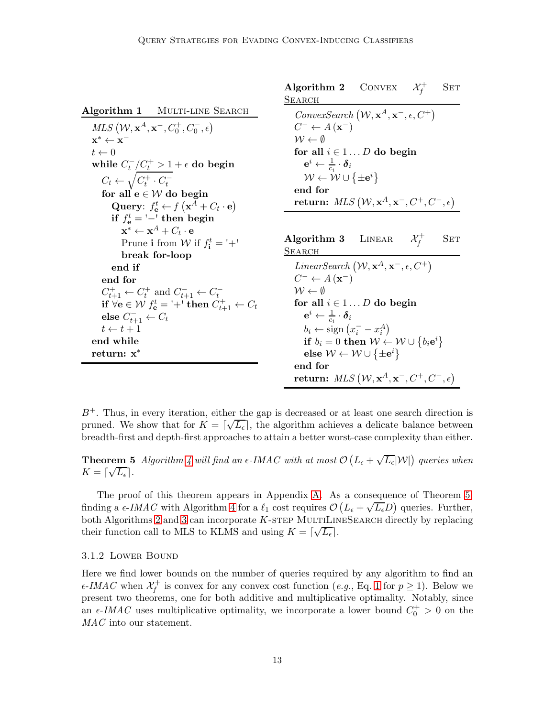<span id="page-12-3"></span><span id="page-12-1"></span><span id="page-12-0"></span>

|                                                                                        | Algorithm 2 CONVEX<br>$\mathcal{X}^+_t$<br><b>SET</b>                          |
|----------------------------------------------------------------------------------------|--------------------------------------------------------------------------------|
| Algorithm 1 MULTI-LINE SEARCH                                                          | <b>SEARCH</b><br>ConvexSearch $(W, \mathbf{x}^A, \mathbf{x}^-, \epsilon, C^+)$ |
| $MLS$ $(\mathcal{W}, \mathbf{x}^A, \mathbf{x}^-, C_0^+, C_0^-, \epsilon)$              | $C^- \leftarrow A(\mathbf{x}^-)$                                               |
| $\mathbf{x}^* \leftarrow \mathbf{x}^-$                                                 | $\mathcal{W} \leftarrow \emptyset$                                             |
| $t \leftarrow 0$                                                                       | for all $i \in 1D$ do begin                                                    |
| while $C_t^-/C_t^+ > 1 + \epsilon$ do begin                                            | $\mathbf{e}^i \leftarrow \frac{1}{c} \cdot \boldsymbol{\delta}_i$              |
| $C_t \leftarrow \sqrt{C_t^+ \cdot C_t^-}$                                              | $\mathcal{W} \leftarrow \mathcal{W} \cup \{\pm e^i\}$                          |
| for all $e \in W$ do begin                                                             | end for                                                                        |
| Query: $f_{\mathbf{e}}^t \leftarrow f(\mathbf{x}^A + C_t \cdot \mathbf{e})$            | return: $MLS$ $(\mathcal{W}, \mathbf{x}^A, \mathbf{x}^-, C^+, C^-, \epsilon)$  |
| if $f_e^t = \frac{1}{1}$ then begin                                                    |                                                                                |
| $\mathbf{x}^* \leftarrow \mathbf{x}^A + C_t \cdot \mathbf{e}$                          |                                                                                |
| Prune i from W if $f_i^t = +$ '                                                        | Algorithm 3 LINEAR<br>$\mathcal{X}^+_\ell$<br>SET                              |
| break for-loop                                                                         | <b>SEARCH</b>                                                                  |
| end if                                                                                 | LinearSearch $(W, \mathbf{x}^A, \mathbf{x}^-, \epsilon, C^+)$                  |
| end for                                                                                | $C^- \leftarrow A(\mathbf{x}^-)$                                               |
| $C_{t+1}^+ \leftarrow C_t^+$ and $C_{t+1}^- \leftarrow C_t^-$                          | $\mathcal{W} \leftarrow \emptyset$                                             |
| if $\forall$ <b>e</b> $\in$ <i>W</i> $f_e^t$ = '+' then $C_{t+1}^+$ $\leftarrow$ $C_t$ | for all $i \in 1D$ do begin                                                    |
| else $C_{t+1}^- \leftarrow C_t$                                                        | $\mathbf{e}^i \leftarrow \frac{1}{c_i} \cdot \boldsymbol{\delta}_i$            |
| $t \leftarrow t + 1$                                                                   | $b_i \leftarrow \text{sign}(x_i^- - x_i^A)$                                    |
| end while                                                                              | if $b_i = 0$ then $W \leftarrow W \cup \{b_i e^i\}$                            |
| return: x <sup>*</sup>                                                                 | else $W \leftarrow W \cup {\{\pm e^i\}}$                                       |
|                                                                                        | end for                                                                        |
|                                                                                        | return: $MLS$ $(W, \mathbf{x}^A, \mathbf{x}^-, C^+, C^-, \epsilon)$            |

 $B<sup>+</sup>$ . Thus, in every iteration, either the gap is decreased or at least one search direction is pruned. We show that for  $K = \lfloor \sqrt{L_{\epsilon}} \rfloor$ , the algorithm achieves a delicate balance between breadth-first and depth-first approaches to attain a better worst-case complexity than either.

<span id="page-12-2"></span>**Theorem 5** Algorithm [4](#page-13-0) will find an  $\epsilon$ -IMAC with at most  $\mathcal{O}\left(L_{\epsilon} + \sqrt{L_{\epsilon}}|\mathcal{W}|\right)$  queries when  $K = \lceil \sqrt{L_{\epsilon}} \rceil$ .

The proof of this theorem appears in Appendix [A.](#page-26-5) As a consequence of Theorem [5,](#page-12-2) finding a  $\epsilon$ -IMAC with Algorithm [4](#page-13-0) for a  $\ell_1$  cost requires  $\mathcal{O}\left(L_{\epsilon} + \sqrt{L_{\epsilon}}D\right)$  queries. Further, both Algorithms [2](#page-12-1) and [3](#page-12-3) can incorporate  $K$ -STEP MULTILINESEARCH directly by replacing their function call to MLS to KLMS and using  $K = \lceil \sqrt{L_{\epsilon}} \rceil$ .

#### <span id="page-12-5"></span>3.1.2 Lower Bound

<span id="page-12-4"></span>Here we find lower bounds on the number of queries required by any algorithm to find an  $\epsilon$ -IMAC when  $\mathcal{X}_{f}^{+}$  is convex for any convex cost function (e.g., Eq. [1](#page-3-0) for  $p \ge 1$ ). Below we present two theorems, one for both additive and multiplicative optimality. Notably, since an  $\epsilon$ -IMAC uses multiplicative optimality, we incorporate a lower bound  $C_0^+ > 0$  on the MAC into our statement.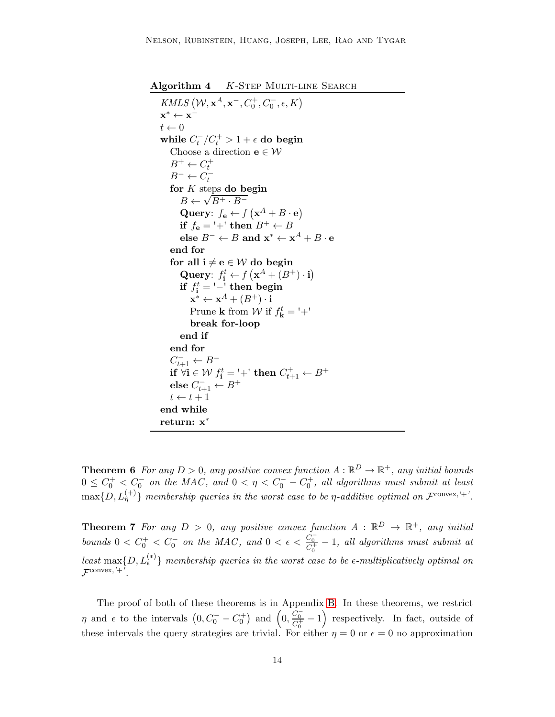<span id="page-13-0"></span>Algorithm 4 K-STEP MULTI-LINE SEARCH

KMLS  $(\mathcal{W}, \mathbf{x}^A, \mathbf{x}^-, C_0^+, C_0^-, \epsilon, K)$  $\mathbf{x}^* \leftarrow \mathbf{x}^$  $t \leftarrow 0$ while  $C_t^-/C_t^+ > 1 + \epsilon$  do begin Choose a direction  $\mathbf{e} \in \mathcal{W}$  $B^+ \leftarrow C_t^+$  $B^- \leftarrow C_t^$ for K steps do begin  $B \leftarrow \sqrt{B^+ \cdot B^-}$ Query:  $f_{\mathbf{e}} \leftarrow f\left(\mathbf{x}^{A} + B \cdot \mathbf{e}\right)$ if  $f_e ='+'$  then  $B^+ \leftarrow B$ else  $B^- \leftarrow B$  and  $\mathbf{x}^* \leftarrow \mathbf{x}^A + B \cdot \mathbf{e}$ end for for all  $i \neq e \in W$  do begin Query:  $f_i^t \leftarrow f\left(\mathbf{x}^A + (B^+) \cdot \mathbf{i}\right)$ if  $f_{\mathbf{i}}^t = \frac{1}{t}$  then begin  $\mathbf{x}^* \leftarrow \mathbf{x}^A + (B^+) \cdot \mathbf{i}$ Prune **k** from  $\mathcal{W}$  if  $f_{\mathbf{k}}^t = +$ ' break for-loop end if end for  $C_{t+1}^- \leftarrow B^$ if  $\forall i \in \mathcal{W}$   $f_i^t = \dagger + \dagger$  then  $C_{t+1}^+ \leftarrow B^+$ else  $C_{t+1}^- \leftarrow B^+$  $t \leftarrow t + 1$ end while return: x<sup>∗</sup>

**Theorem 6** For any  $D > 0$ , any positive convex function  $A : \mathbb{R}^D \to \mathbb{R}^+$ , any initial bounds  $0 \leq C_0^+ < C_0^-$  on the MAC, and  $0 < \eta < C_0^- - C_0^+$ , all algorithms must submit at least  $\max\{D,L^{(+)}_{\eta}\}$  membership queries in the worst case to be  $\eta$ -additive optimal on  $\mathcal{F}^{\text{convex},'+}.$ 

<span id="page-13-1"></span>**Theorem 7** For any  $D > 0$ , any positive convex function  $A : \mathbb{R}^D \to \mathbb{R}^+$ , any initial bounds  $0 < C_0^+ < C_0^-$  on the MAC, and  $0 < \epsilon < \frac{C_0^-}{C_0^+} - 1$ , all algorithms must submit at least  $\max\{D, L_{\epsilon}^{(*)}\}\$  membership queries in the worst case to be  $\epsilon$ -multiplicatively optimal on  $\mathcal{F}^{\text{convex}, '+'}.$ 

The proof of both of these theorems is in Appendix [B.](#page-28-0) In these theorems, we restrict  $\eta$  and  $\epsilon$  to the intervals  $(0, C_0^- - C_0^+)$  and  $(0, \frac{C_0^-}{C_0^+} - 1)$  respectively. In fact, outside of these intervals the query strategies are trivial. For either  $\eta = 0$  or  $\epsilon = 0$  no approximation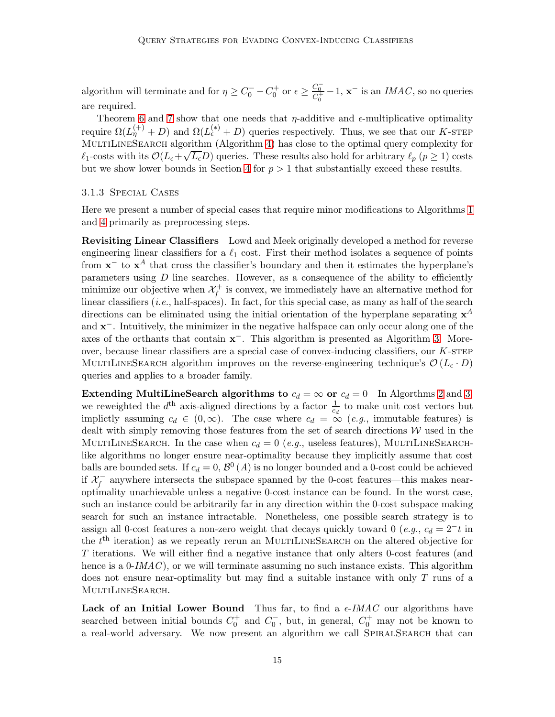algorithm will terminate and for  $\eta \ge C_0^- - C_0^+$  or  $\epsilon \ge \frac{C_0^-}{C_0^+} - 1$ ,  $\mathbf{x}^-$  is an *IMAC*, so no queries are required.

Theorem [6](#page-12-4) and [7](#page-13-1) show that one needs that  $\eta$ -additive and  $\epsilon$ -multiplicative optimality require  $\Omega(L_{\eta}^{(+)}+D)$  and  $\Omega(L_{\epsilon}^{(*)}+D)$  queries respectively. Thus, we see that our K-STEP MULTILINESEARCH algorithm (Algorithm [4\)](#page-13-0) has close to the optimal query complexity for  $\ell_1$ -costs with its  $\mathcal{O}(L_\epsilon + \sqrt{L_\epsilon}D)$  queries. These results also hold for arbitrary  $\ell_p$  ( $p \ge 1$ ) costs but we show lower bounds in Section [4](#page-19-0) for  $p > 1$  that substantially exceed these results.

#### <span id="page-14-0"></span>3.1.3 Special Cases

Here we present a number of special cases that require minor modifications to Algorithms [1](#page-12-0) and [4](#page-13-0) primarily as preprocessing steps.

Revisiting Linear Classifiers Lowd and Meek originally developed a method for reverse engineering linear classifiers for a  $\ell_1$  cost. First their method isolates a sequence of points from  $\mathbf{x}^-$  to  $\mathbf{x}^A$  that cross the classifier's boundary and then it estimates the hyperplane's parameters using  $D$  line searches. However, as a consequence of the ability to efficiently minimize our objective when  $\mathcal{X}_f^+$  is convex, we immediately have an alternative method for linear classifiers  $(i.e., \text{half-spaces})$ . In fact, for this special case, as many as half of the search directions can be eliminated using the initial orientation of the hyperplane separating  $x^A$ and **x**<sup>−</sup>. Intuitively, the minimizer in the negative halfspace can only occur along one of the axes of the orthants that contain  $x^-$ . This algorithm is presented as Algorithm [3.](#page-12-3) Moreover, because linear classifiers are a special case of convex-inducing classifiers, our  $K$ -STEP MULTILINESEARCH algorithm improves on the reverse-engineering technique's  $\mathcal{O}(L_{\epsilon} \cdot D)$ queries and applies to a broader family.

Extending MultiLineSearch algorithms to  $c_d = \infty$  or  $c_d = 0$  In Algorthms [2](#page-12-1) and [3,](#page-12-3) we reweighted the  $d^{\text{th}}$  axis-aligned directions by a factor  $\frac{1}{c_d}$  to make unit cost vectors but implictly assuming  $c_d \in (0,\infty)$ . The case where  $c_d = \tilde{\infty}$  (e.g., immutable features) is dealt with simply removing those features from the set of search directions  $W$  used in the MULTILINESEARCH. In the case when  $c_d = 0$  (e.g., useless features), MULTILINESEARCHlike algorithms no longer ensure near-optimality because they implicitly assume that cost balls are bounded sets. If  $c_d = 0$ ,  $\mathcal{B}^0(A)$  is no longer bounded and a 0-cost could be achieved if  $\mathcal{X}^-_f$  anywhere intersects the subspace spanned by the 0-cost features—this makes nearoptimality unachievable unless a negative 0-cost instance can be found. In the worst case, such an instance could be arbitrarily far in any direction within the 0-cost subspace making search for such an instance intractable. Nonetheless, one possible search strategy is to assign all 0-cost features a non-zero weight that decays quickly toward 0 (e.g.,  $c_d = 2^-t$  in the  $t<sup>th</sup>$  iteration) as we repeatly rerun an MULTILINESEARCH on the altered objective for T iterations. We will either find a negative instance that only alters 0-cost features (and hence is a  $0\text{-}IMAC$ , or we will terminate assuming no such instance exists. This algorithm does not ensure near-optimality but may find a suitable instance with only T runs of a MULTILINESEARCH.

Lack of an Initial Lower Bound Thus far, to find a  $\epsilon$ -IMAC our algorithms have searched between initial bounds  $C_0^+$  and  $C_0^-$ , but, in general,  $C_0^+$  may not be known to a real-world adversary. We now present an algorithm we call SpiralSearch that can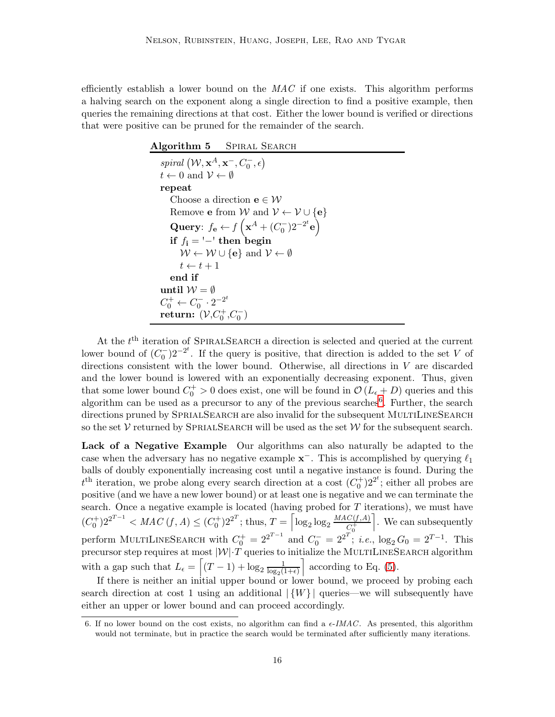efficiently establish a lower bound on the  $MAC$  if one exists. This algorithm performs a halving search on the exponent along a single direction to find a positive example, then queries the remaining directions at that cost. Either the lower bound is verified or directions that were positive can be pruned for the remainder of the search.

| Algorithm 5 SPIRAL SEARCH                                                                  |  |
|--------------------------------------------------------------------------------------------|--|
| spiral $(\mathcal{W}, \mathbf{x}^A, \mathbf{x}^-, C_0^-, \epsilon)$                        |  |
| $t \leftarrow 0$ and $\mathcal{V} \leftarrow \emptyset$                                    |  |
| repeat                                                                                     |  |
| Choose a direction $e \in \mathcal{W}$                                                     |  |
| Remove <b>e</b> from W and $V \leftarrow V \cup \{e\}$                                     |  |
| Query: $f_{\mathbf{e}} \leftarrow f\left(\mathbf{x}^A + (C_0^-)2^{-2^t} \mathbf{e}\right)$ |  |
| if $f_i = -1$ then begin                                                                   |  |
| $W \leftarrow W \cup \{e\}$ and $V \leftarrow \emptyset$                                   |  |
| $t \leftarrow t + 1$                                                                       |  |
| end if                                                                                     |  |
| until $\mathcal{W}=\emptyset$                                                              |  |
| $C_0^+ \leftarrow C_0^- \cdot 2^{-2^t}$                                                    |  |
| return: $(\mathcal{V}, C_0^+, C_0^-)$                                                      |  |

At the  $t<sup>th</sup>$  iteration of SPIRALSEARCH a direction is selected and queried at the current lower bound of  $(C_0^-)2^{-2^t}$ . If the query is positive, that direction is added to the set V of directions consistent with the lower bound. Otherwise, all directions in V are discarded and the lower bound is lowered with an exponentially decreasing exponent. Thus, given that some lower bound  $C_0^+ > 0$  does exist, one will be found in  $\mathcal{O}(L_\epsilon + D)$  queries and this algorithm can be used as a precursor to any of the previous searches<sup>[6](#page-15-0)</sup>. Further, the search directions pruned by SPRIALSEARCH are also invalid for the subsequent MULTILINESEARCH so the set  $\mathcal V$  returned by SPRIALSEARCH will be used as the set  $\mathcal W$  for the subsequent search.

Lack of a Negative Example Our algorithms can also naturally be adapted to the case when the adversary has no negative example  $\mathbf{x}^-$ . This is accomplished by querying  $\ell_1$ balls of doubly exponentially increasing cost until a negative instance is found. During the  $t<sup>th</sup>$  iteration, we probe along every search direction at a cost  $(C<sub>0</sub><sup>+</sup>)2<sup>2<sup>t</sup></sup>$ ; either all probes are positive (and we have a new lower bound) or at least one is negative and we can terminate the search. Once a negative example is located (having probed for  $T$  iterations), we must have  $(C_0^+)2^{2^{T-1}} < MAC(f, A) \leq (C_0^+)2^{2^T};$  thus,  $T = \left[\log_2 \log_2 \frac{MAC(f, A)}{C_0^+}\right]$  $C_0^+$ m . We can subsequently perform MULTILINESEARCH with  $C_0^+ = 2^{2^{T-1}}$  and  $C_0^- = 2^{2^T}$ ; *i.e.*,  $\log_2 G_0 = 2^{T-1}$ . This precursor step requires at most  $|\mathcal{W}| \cdot T$  queries to initialize the MULTILINESEARCH algorithm with a gap such that  $L_{\epsilon} = \left[ (T - 1) + \log_2 \frac{1}{\log_2(1)} \right]$  $log_2(1+\epsilon)$  $\big]$  according to Eq. [\(5\)](#page-5-2).

If there is neither an initial upper bound or lower bound, we proceed by probing each search direction at cost 1 using an additional  $|{W}\rangle$  queries—we will subsequently have either an upper or lower bound and can proceed accordingly.

<span id="page-15-0"></span><sup>6.</sup> If no lower bound on the cost exists, no algorithm can find a  $\epsilon$ -IMAC. As presented, this algorithm would not terminate, but in practice the search would be terminated after sufficiently many iterations.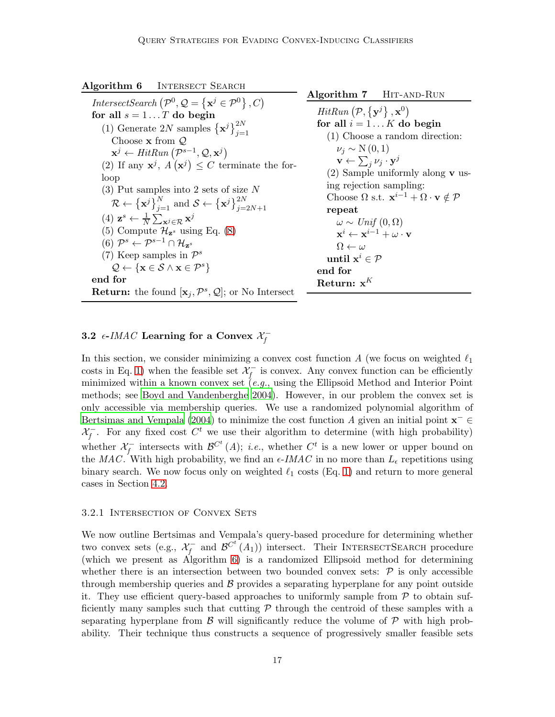<span id="page-16-0"></span>

| <b>INTERSECT SEARCH</b> |
|-------------------------|
|                         |

IntersectSearch  $(\mathcal{P}^0, \mathcal{Q} = {\mathbf{x}^j \in \mathcal{P}^0}, C)$ for all  $s = 1...T$  do begin (1) Generate 2N samples  $\{\mathbf{x}^j\}_{j=1}^{2N}$ Choose  $x$  from  $Q$  $\mathbf{x}^j \leftarrow HitRun\left(\mathcal{P}^{s-1}, \mathcal{Q}, \mathbf{x}^j\right)$ (2) If any  $\mathbf{x}^j$ ,  $A(\mathbf{x}^j) \leq C$  terminate the forloop (3) Put samples into 2 sets of size N  $\mathcal{R} \leftarrow {\{\mathbf{x}^j\}}_{j=1}^N \text{ and } \mathcal{S} \leftarrow {\{\mathbf{x}^j\}}_{j=2N+1}^{2N}$ (4)  $\mathbf{z}^s \leftarrow \frac{1}{N} \sum_{\mathbf{x}^j \in \mathcal{R}} \mathbf{x}^j$ (5) Compute  $\mathcal{H}_{\mathbf{z}^s}$  using Eq. [\(8\)](#page-17-0)  $(6)$   $\mathcal{P}^s \leftarrow \mathcal{P}^{s-1} \cap \mathcal{H}_{\mathbf{z}^s}$ (7) Keep samples in  $\mathcal{P}^s$  $\mathcal{Q} \leftarrow \{\mathbf{x} \in \mathcal{S} \land \mathbf{x} \in \mathcal{P}^s\}$ end for **Return:** the found  $[\mathbf{x}_j, \mathcal{P}^s, \mathcal{Q}]$ ; or No Intersect

<span id="page-16-1"></span>Algorithm 7 HIT-AND-RUN  $HitRun\left(\mathcal{P}, \{\mathbf{y}^j\}, \mathbf{x}^0\right)$ for all  $i = 1...K$  do begin (1) Choose a random direction:  $\nu_i \sim N(0,1)$  $\mathbf{v} \leftarrow \sum_j \nu_j \cdot \mathbf{y}^j$ (2) Sample uniformly along v using rejection sampling: Choose  $\Omega$  s.t.  $\mathbf{x}^{i-1} + \Omega \cdot \mathbf{v} \notin \mathcal{P}$ repeat  $\omega \sim Unif(0, \Omega)$  $\mathbf{x}^i \leftarrow \mathbf{x}^{i-1} + \omega \cdot \mathbf{v}$  $\Omega \leftarrow \omega$ until  $\mathbf{x}^i \in \mathcal{P}$ end for Return:  $x^K$ 

# 3.2  $\epsilon$ -IMAC Learning for a Convex  $\mathcal{X}^-_f$

In this section, we consider minimizing a convex cost function  $A$  (we focus on weighted  $\ell_1$ costs in Eq. [1\)](#page-3-0) when the feasible set  $\mathcal{X}^-_f$  is convex. Any convex function can be efficiently minimized within a known convex set  $(e.g.,$  using the Ellipsoid Method and Interior Point methods; see [Boyd and Vandenberghe 2004](#page-25-4)). However, in our problem the convex set is only accessible via membership queries. We use a randomized polynomial algorithm of [Bertsimas and Vempala \(2004\)](#page-25-5) to minimize the cost function A given an initial point  $\mathbf{x}^- \in$  $\mathcal{X}^-_f$ . For any fixed cost  $C^t$  we use their algorithm to determine (with high probability) whether  $\mathcal{X}^-_f$  intersects with  $\mathcal{B}^{C^t}(A)$ ; *i.e.*, whether  $C^t$  is a new lower or upper bound on the MAC. With high probability, we find an  $\epsilon$ -IMAC in no more than  $L_{\epsilon}$  repetitions using binary search. We now focus only on weighted  $\ell_1$  costs (Eq. [1\)](#page-3-0) and return to more general cases in Section [4.2.](#page-23-1)

#### 3.2.1 Intersection of Convex Sets

We now outline Bertsimas and Vempala's query-based procedure for determining whether two convex sets (e.g.,  $\mathcal{X}_f^-$  and  $\mathcal{B}^{C^t}(A_1)$ ) intersect. Their INTERSECTSEARCH procedure (which we present as Algorithm [6\)](#page-16-0) is a randomized Ellipsoid method for determining whether there is an intersection between two bounded convex sets:  $P$  is only accessible through membership queries and  $\beta$  provides a separating hyperplane for any point outside it. They use efficient query-based approaches to uniformly sample from  $P$  to obtain sufficiently many samples such that cutting  $\mathcal P$  through the centroid of these samples with a separating hyperplane from  $\beta$  will significantly reduce the volume of  $\beta$  with high probability. Their technique thus constructs a sequence of progressively smaller feasible sets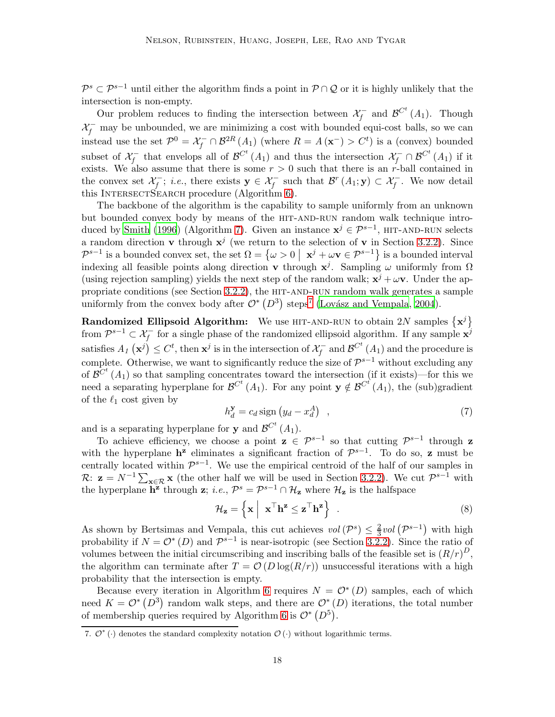$\mathcal{P}^s \subset \mathcal{P}^{s-1}$  until either the algorithm finds a point in  $\mathcal{P} \cap \mathcal{Q}$  or it is highly unlikely that the intersection is non-empty.

Our problem reduces to finding the intersection between  $\mathcal{X}^-_f$  and  $\mathcal{B}^{C^t}(A_1)$ . Though  $\mathcal{X}^-_f$  may be unbounded, we are minimizing a cost with bounded equi-cost balls, so we can instead use the set  $\mathcal{P}^0 = \mathcal{X}^-_f \cap \mathcal{B}^{2R}(A_1)$  (where  $R = A(\mathbf{x}^-) > C^t$ ) is a (convex) bounded subset of  $\mathcal{X}_f^-$  that envelops all of  $\mathcal{B}^{C^t}(A_1)$  and thus the intersection  $\mathcal{X}_f^- \cap \mathcal{B}^{C^t}(A_1)$  if it exists. We also assume that there is some  $r > 0$  such that there is an r-ball contained in the convex set  $\mathcal{X}_f^-$ ; *i.e.*, there exists  $\mathbf{y} \in \mathcal{X}_f^-$  such that  $\mathcal{B}^r(A_1; \mathbf{y}) \subset \mathcal{X}_f^-$ . We now detail this INTERSECTSEARCH procedure (Algorithm [6\)](#page-16-0).

The backbone of the algorithm is the capability to sample uniformly from an unknown but bounded convex body by means of the HIT-AND-RUN random walk technique intro-duced by [Smith \(1996](#page-26-6)) (Algorithm [7\)](#page-16-1). Given an instance  $\mathbf{x}^j \in \mathcal{P}^{s-1}$ , HIT-AND-RUN selects a random direction **v** through  $x^j$  (we return to the selection of **v** in Section [3.2.2\)](#page-18-0). Since  $\mathcal{P}^{s-1}$  is a bounded convex set, the set  $\Omega = \{ \omega > 0 \mid \mathbf{x}^j + \omega \mathbf{v} \in \mathcal{P}^{s-1} \}$  is a bounded interval indexing all feasible points along direction **v** through  $x^j$ . Sampling  $\omega$  uniformly from  $\Omega$ (using rejection sampling) yields the next step of the random walk;  $x^{j} + \omega v$ . Under the appropriate conditions (see Section  $3.2.2$ ), the HIT-AND-RUN random walk generates a sample uniformly from the convex body after  $\mathcal{O}^*\left(D^3\right)$  steps<sup>[7](#page-17-1)</sup> (Lovász and Vempala, [2004\)](#page-25-6).

**Randomized Ellipsoid Algorithm:** We use HIT-AND-RUN to obtain 2N samples  $\{x^j\}$ from  $\mathcal{P}^{s-1} \subset \mathcal{X}^-_f$  for a single phase of the randomized ellipsoid algorithm. If any sample  $\mathbf{x}^j$ satisfies  $A_I(\mathbf{x}^j) \leq C^t$ , then  $\mathbf{x}^j$  is in the intersection of  $\mathcal{X}^-_f$  and  $\mathcal{B}^{C^t}(A_1)$  and the procedure is complete. Otherwise, we want to significantly reduce the size of  $\mathcal{P}^{s-1}$  without excluding any of  $\mathcal{B}^{C^t}(A_1)$  so that sampling concentrates toward the intersection (if it exists)—for this we need a separating hyperplane for  $\mathcal{B}^{C^t}(A_1)$ . For any point  $y \notin \mathcal{B}^{C^t}(A_1)$ , the (sub)gradient of the  $\ell_1$  cost given by

<span id="page-17-2"></span>
$$
h_d^{\mathbf{y}} = c_d \operatorname{sign}\left(y_d - x_d^A\right) \quad , \tag{7}
$$

and is a separating hyperplane for **y** and  $\mathcal{B}^{C^t}(A_1)$ .

To achieve efficiency, we choose a point  $z \in \mathcal{P}^{s-1}$  so that cutting  $\mathcal{P}^{s-1}$  through z with the hyperplane  $h^z$  eliminates a significant fraction of  $\mathcal{P}^{s-1}$ . To do so, z must be centrally located within  $\mathcal{P}^{s-1}$ . We use the empirical centroid of the half of our samples in R:  $z = N^{-1} \sum_{x \in \mathcal{R}} x$  (the other half we will be used in Section [3.2.2\)](#page-18-0). We cut  $\mathcal{P}^{s-1}$  with the hyperplane  $\mathbf{h}^{\mathbf{z}}$  through  $\mathbf{z}$ ; *i.e.*,  $\mathcal{P}^s = \mathcal{P}^{s-1} \cap \mathcal{H}_{\mathbf{z}}$  where  $\mathcal{H}_{\mathbf{z}}$  is the halfspace

<span id="page-17-0"></span>
$$
\mathcal{H}_{\mathbf{z}} = \left\{ \mathbf{x} \middle| \mathbf{x}^{\top} \mathbf{h}^{\mathbf{z}} \leq \mathbf{z}^{\top} \mathbf{h}^{\mathbf{z}} \right\} . \tag{8}
$$

As shown by Bertsimas and Vempala, this cut achieves  $vol(P^s) \leq \frac{2}{3}$  $rac{2}{3}$ vol  $\left(\mathcal{P}^{s-1}\right)$  with high probability if  $N = \mathcal{O}^*(D)$  and  $\mathcal{P}^{s-1}$  is near-isotropic (see Section [3.2.2\)](#page-18-0). Since the ratio of volumes between the initial circumscribing and inscribing balls of the feasible set is  $(R/r)^D$ , the algorithm can terminate after  $T = \mathcal{O}(D \log(R/r))$  unsuccessful iterations with a high probability that the intersection is empty.

Because every iteration in Algorithm [6](#page-16-0) requires  $N = \mathcal{O}^*(D)$  samples, each of which need  $K = \mathcal{O}^*(D^3)$  random walk steps, and there are  $\mathcal{O}^*(D)$  iterations, the total number of membership queries required by Algorithm [6](#page-16-0) is  $\mathcal{O}^*\left(D^5\right)$ .

<span id="page-17-1"></span><sup>7.</sup>  $\mathcal{O}^*$  ( $\cdot$ ) denotes the standard complexity notation  $\mathcal{O}(\cdot)$  without logarithmic terms.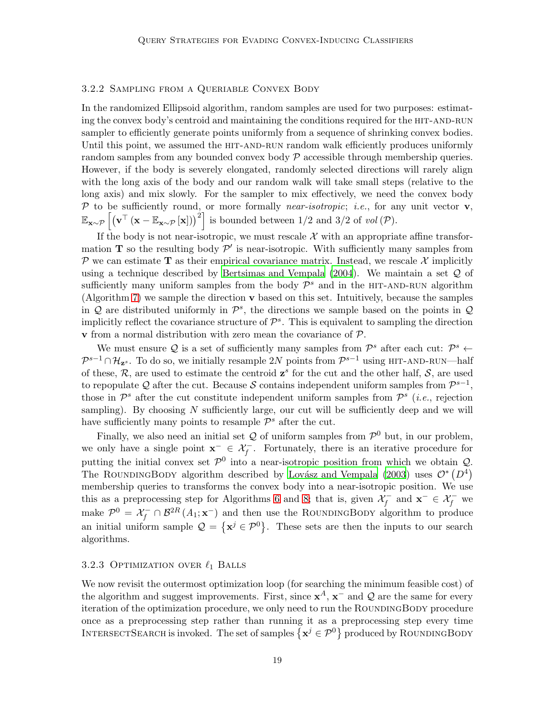#### <span id="page-18-0"></span>3.2.2 Sampling from a Queriable Convex Body

In the randomized Ellipsoid algorithm, random samples are used for two purposes: estimating the convex body's centroid and maintaining the conditions required for the HIT-AND-RUN sampler to efficiently generate points uniformly from a sequence of shrinking convex bodies. Until this point, we assumed the HIT-AND-RUN random walk efficiently produces uniformly random samples from any bounded convex body  $\mathcal P$  accessible through membership queries. However, if the body is severely elongated, randomly selected directions will rarely align with the long axis of the body and our random walk will take small steps (relative to the long axis) and mix slowly. For the sampler to mix effectively, we need the convex body  $P$  to be sufficiently round, or more formally *near-isotropic*; *i.e.*, for any unit vector  $\mathbf{v}$ ,  $\mathbb{E}_{\mathbf{x} \sim \mathcal{P}} \left[ \left( \mathbf{v}^{\top} \left( \mathbf{x} - \mathbb{E}_{\mathbf{x} \sim \mathcal{P}} \left[ \mathbf{x} \right] \right) \right)^2 \right]$  is bounded between 1/2 and 3/2 of vol  $(\mathcal{P})$ .

If the body is not near-isotropic, we must rescale  $\mathcal X$  with an appropriate affine transformation **T** so the resulting body  $\mathcal{P}'$  is near-isotropic. With sufficiently many samples from P we can estimate T as their empirical covariance matrix. Instead, we rescale  $\mathcal{X}$  implicitly using a technique described by Bertsimas and Vempala  $(2004)$ . We maintain a set  $\mathcal Q$  of sufficiently many uniform samples from the body  $\mathcal{P}^s$  and in the HIT-AND-RUN algorithm (Algorithm [7\)](#page-16-1) we sample the direction v based on this set. Intuitively, because the samples in  $Q$  are distributed uniformly in  $\mathcal{P}^s$ , the directions we sample based on the points in  $Q$ implicitly reflect the covariance structure of  $\mathcal{P}^s$ . This is equivalent to sampling the direction **v** from a normal distribution with zero mean the covariance of  $P$ .

We must ensure Q is a set of sufficiently many samples from  $\mathcal{P}^s$  after each cut:  $\mathcal{P}^s$   $\leftarrow$  $\mathcal{P}^{s-1} \cap \mathcal{H}_{\mathbf{z}^s}$ . To do so, we initially resample 2N points from  $\mathcal{P}^{s-1}$  using HIT-AND-RUN—half of these,  $\mathcal{R}$ , are used to estimate the centroid  $\mathbf{z}^s$  for the cut and the other half,  $\mathcal{S}$ , are used to repopulate Q after the cut. Because S contains independent uniform samples from  $\mathcal{P}^{s-1}$ , those in  $\mathcal{P}^s$  after the cut constitute independent uniform samples from  $\mathcal{P}^s$  (*i.e.*, rejection sampling). By choosing  $N$  sufficiently large, our cut will be sufficiently deep and we will have sufficiently many points to resample  $\mathcal{P}^s$  after the cut.

Finally, we also need an initial set  $Q$  of uniform samples from  $\mathcal{P}^0$  but, in our problem, we only have a single point  $\mathbf{x}^- \in \mathcal{X}_f^-$ . Fortunately, there is an iterative procedure for putting the initial convex set  $\mathcal{P}^0$  into a near-isotropic position from which we obtain  $\mathcal{Q}$ . The ROUNDINGBODY algorithm described by Lovász and Vempala (2003) uses  $\mathcal{O}^*\left(D^4\right)$ membership queries to transforms the convex body into a near-isotropic position. We use this as a preprocessing step for Algorithms [6](#page-16-0) and [8;](#page-19-1) that is, given  $\mathcal{X}_f^-$  and  $\mathbf{x}^- \in \mathcal{X}_f^-$  we make  $\mathcal{P}^0 = \mathcal{X}_f^- \cap \mathcal{B}^{2R}(A_1; \mathbf{x}^-)$  and then use the ROUNDINGBODY algorithm to produce an initial uniform sample  $\mathcal{Q} = {\{\mathbf{x}^j \in \mathcal{P}^0\}}$ . These sets are then the inputs to our search algorithms.

# 3.2.3 OPTIMIZATION OVER  $\ell_1$  BALLS

We now revisit the outermost optimization loop (for searching the minimum feasible cost) of the algorithm and suggest improvements. First, since  $x^A$ ,  $x^-$  and  $\mathcal Q$  are the same for every iteration of the optimization procedure, we only need to run the ROUNDINGBODY procedure once as a preprocessing step rather than running it as a preprocessing step every time INTERSECTSEARCH is invoked. The set of samples  $\{\mathbf x^j \in \mathcal P^0\}$  produced by ROUNDINGBODY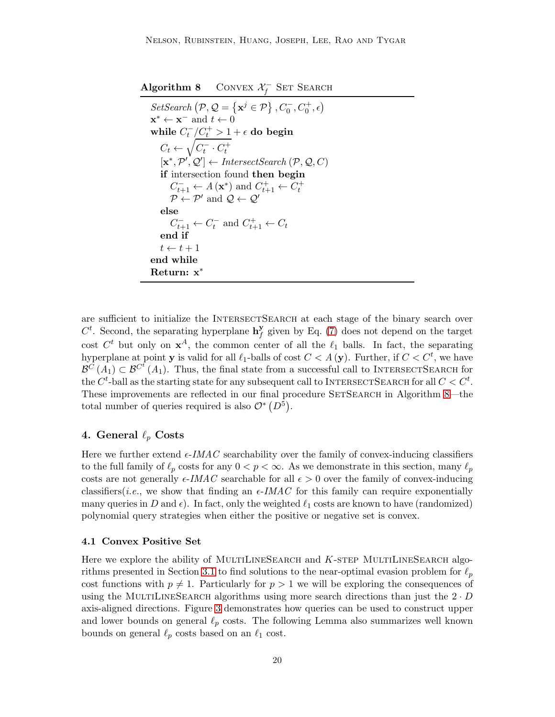<span id="page-19-1"></span>Algorithm 8 CONVEX  $\mathcal{X}_f^-$  SET SEARCH

```
SetSearch (P, Q = {\mathbf{x}^j \in P}, C_0^-, C_0^+, \epsilon)\mathbf{x}^* \leftarrow \mathbf{x}^- and t \leftarrow 0while C_t^-/\underline{C_t^+} > 1 + \epsilon do begin
     C_t \leftarrow \sqrt{C_t^-\cdot C_t^+}[\mathbf{x}^*, \mathcal{P}', \mathcal{Q}'] \leftarrow \text{InterestSearch}(\mathcal{P}, \mathcal{Q}, C)if intersection found then begin
          C_{t+1}^- \leftarrow A(\mathbf{x}^*) \text{ and } C_{t+1}^+ \leftarrow C_t^+<br>
\mathcal{P} \leftarrow \mathcal{P}' \text{ and } \mathcal{Q} \leftarrow \mathcal{Q}'else
          C_{t+1}^- \leftarrow C_t^- and C_{t+1}^+ \leftarrow C_tend if
    t \leftarrow t + 1end while
Return: x∗
```
are sufficient to initialize the INTERSECTSEARCH at each stage of the binary search over  $C^t$ . Second, the separating hyperplane  $\mathbf{h}_f^{\mathbf{y}}$  $f_f^{\mathbf{y}}$  given by Eq. [\(7\)](#page-17-2) does not depend on the target cost  $C^t$  but only on  $\mathbf{x}^A$ , the common center of all the  $\ell_1$  balls. In fact, the separating hyperplane at point **y** is valid for all  $\ell_1$ -balls of cost  $C < A$  (**y**). Further, if  $C < C^t$ , we have  $\mathcal{B}^C(A_1) \subset \mathcal{B}^{C^t}(A_1)$ . Thus, the final state from a successful call to INTERSECTSEARCH for the  $C^t$ -ball as the starting state for any subsequent call to INTERSECTSEARCH for all  $C < C^t$ . These improvements are reflected in our final procedure SETSEARCH in Algorithm [8—](#page-19-1)the total number of queries required is also  $\mathcal{O}^*\left(D^5\right)$ .

# <span id="page-19-0"></span>4. General  $\ell_p$  Costs

Here we further extend  $\epsilon$ -*IMAC* searchability over the family of convex-inducing classifiers to the full family of  $\ell_p$  costs for any  $0 < p < \infty$ . As we demonstrate in this section, many  $\ell_p$ costs are not generally  $\epsilon$ -*IMAC* searchable for all  $\epsilon > 0$  over the family of convex-inducing classifiers(*i.e.*, we show that finding an  $\epsilon$ -*IMAC* for this family can require exponentially many queries in D and  $\epsilon$ ). In fact, only the weighted  $\ell_1$  costs are known to have (randomized) polynomial query strategies when either the positive or negative set is convex.

#### 4.1 Convex Positive Set

<span id="page-19-2"></span>Here we explore the ability of MULTILINESEARCH and  $K$ -STEP MULTILINESEARCH algo-rithms presented in Section [3.1](#page-9-1) to find solutions to the near-optimal evasion problem for  $\ell_p$ cost functions with  $p \neq 1$ . Particularly for  $p > 1$  we will be exploring the consequences of using the MULTILINESEARCH algorithms using more search directions than just the  $2 \cdot D$ axis-aligned directions. Figure [3](#page-20-0) demonstrates how queries can be used to construct upper and lower bounds on general  $\ell_p$  costs. The following Lemma also summarizes well known bounds on general  $\ell_p$  costs based on an  $\ell_1$  cost.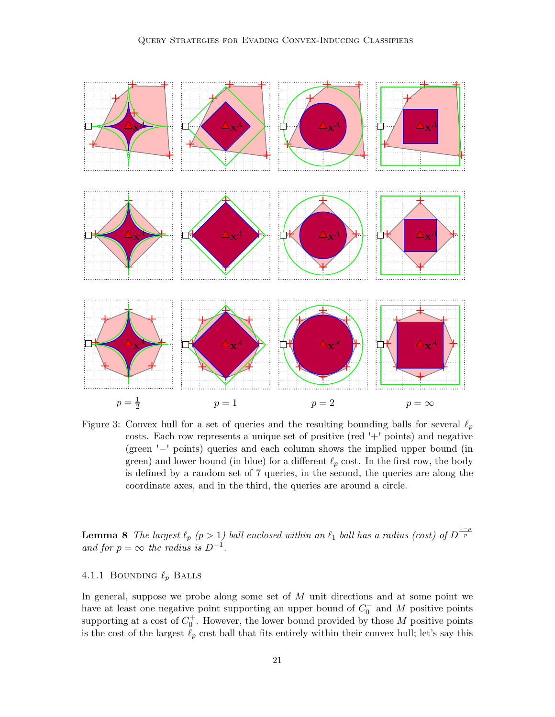

<span id="page-20-0"></span>Figure 3: Convex hull for a set of queries and the resulting bounding balls for several  $\ell_p$ costs. Each row represents a unique set of positive (red '+' points) and negative (green '−' points) queries and each column shows the implied upper bound (in green) and lower bound (in blue) for a different  $\ell_p$  cost. In the first row, the body is defined by a random set of 7 queries, in the second, the queries are along the coordinate axes, and in the third, the queries are around a circle.

**Lemma 8** The largest  $\ell_p$   $(p > 1)$  ball enclosed within an  $\ell_1$  ball has a radius (cost) of  $D^{\frac{1-p}{p}}$ and for  $p = \infty$  the radius is  $D^{-1}$ .

# 4.1.1 BOUNDING  $\ell_p$  BALLS

In general, suppose we probe along some set of  $M$  unit directions and at some point we have at least one negative point supporting an upper bound of  $C_0^-$  and M positive points supporting at a cost of  $C_0^+$ . However, the lower bound provided by those M positive points is the cost of the largest  $\ell_p$  cost ball that fits entirely within their convex hull; let's say this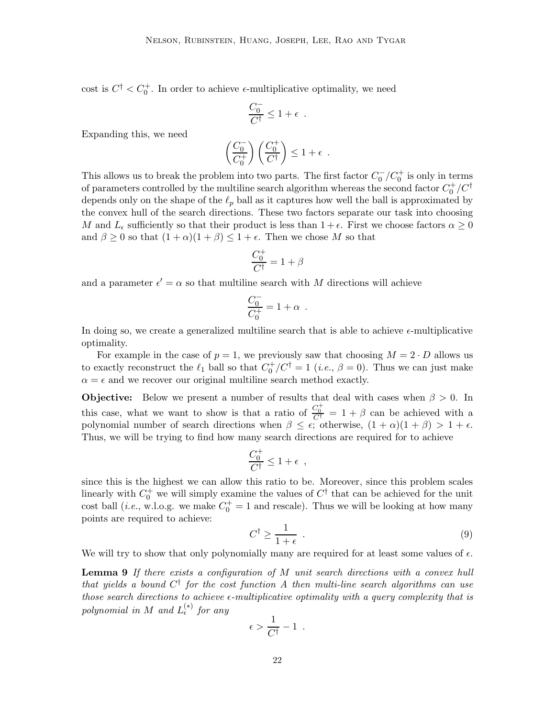cost is  $C^{\dagger} < C_0^{\dagger}$ . In order to achieve  $\epsilon$ -multiplicative optimality, we need

$$
\frac{C_0^-}{C^\dagger} \leq 1 + \epsilon \enspace .
$$

Expanding this, we need

$$
\left(\frac{C_0^-}{C_0^+}\right)\left(\frac{C_0^+}{C^\dagger}\right) \leq 1 + \epsilon \enspace.
$$

This allows us to break the problem into two parts. The first factor  $C_0^-/C_0^+$  is only in terms of parameters controlled by the multiline search algorithm whereas the second factor  $C_0^+/C^\dagger$ depends only on the shape of the  $\ell_p$  ball as it captures how well the ball is approximated by the convex hull of the search directions. These two factors separate our task into choosing M and  $L_{\epsilon}$  sufficiently so that their product is less than  $1 + \epsilon$ . First we choose factors  $\alpha \geq 0$ and  $\beta \geq 0$  so that  $(1+\alpha)(1+\beta) \leq 1+\epsilon$ . Then we chose M so that

$$
\frac{C_0^+}{C^\dagger} = 1 + \beta
$$

and a parameter  $\epsilon' = \alpha$  so that multiline search with M directions will achieve

$$
\frac{C_0^-}{C_0^+} = 1 + \alpha \;\; .
$$

In doing so, we create a generalized multiline search that is able to achieve  $\epsilon$ -multiplicative optimality.

For example in the case of  $p = 1$ , we previously saw that choosing  $M = 2 \cdot D$  allows us to exactly reconstruct the  $\ell_1$  ball so that  $C_0^+/C_1^+ = 1$  (*i.e.*,  $\beta = 0$ ). Thus we can just make  $\alpha = \epsilon$  and we recover our original multiline search method exactly.

**Objective:** Below we present a number of results that deal with cases when  $\beta > 0$ . In this case, what we want to show is that a ratio of  $\frac{C_0^+}{C_1^+} = 1 + \beta$  can be achieved with a polynomial number of search directions when  $\beta \leq \epsilon$ ; otherwise,  $(1 + \alpha)(1 + \beta) > 1 + \epsilon$ . Thus, we will be trying to find how many search directions are required for to achieve

$$
\frac{C_0^+}{C^\dagger} \le 1 + \epsilon \ ,
$$

since this is the highest we can allow this ratio to be. Moreover, since this problem scales linearly with  $C_0^+$  we will simply examine the values of  $C^{\dagger}$  that can be achieved for the unit cost ball (*i.e.*, w.l.o.g. we make  $C_0^+ = 1$  and rescale). Thus we will be looking at how many points are required to achieve:

$$
C^{\dagger} \ge \frac{1}{1+\epsilon} \tag{9}
$$

<span id="page-21-0"></span>We will try to show that only polynomially many are required for at least some values of  $\epsilon$ .

**Lemma 9** If there exists a configuration of  $M$  unit search directions with a convex hull that yields a bound  $C^{\dagger}$  for the cost function A then multi-line search algorithms can use those search directions to achieve  $\epsilon$ -multiplicative optimality with a query complexity that is polynomial in M and  $L_{\epsilon}^{(*)}$  for any

$$
\epsilon > \frac{1}{C^{\dagger}} - 1 \enspace .
$$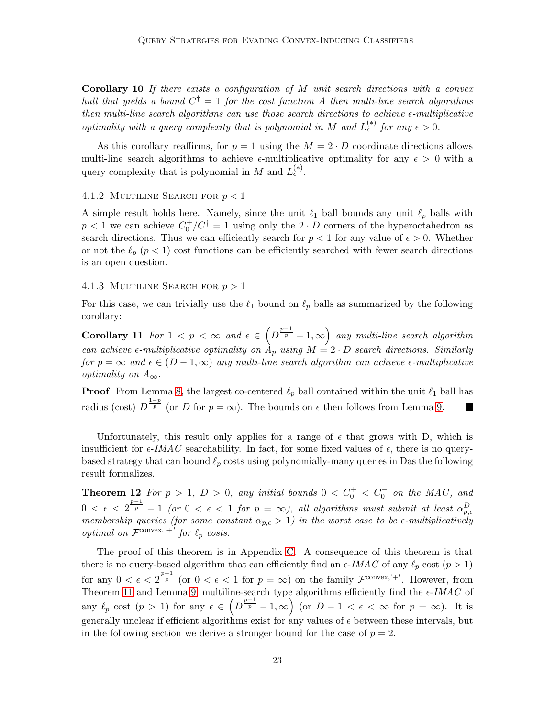**Corollary 10** If there exists a configuration of  $M$  unit search directions with a convex hull that yields a bound  $C^{\dagger} = 1$  for the cost function A then multi-line search algorithms then multi-line search algorithms can use those search directions to achieve  $\epsilon$ -multiplicative optimality with a query complexity that is polynomial in M and  $L_{\epsilon}^{(*)}$  for any  $\epsilon > 0$ .

As this corollary reaffirms, for  $p = 1$  using the  $M = 2 \cdot D$  coordinate directions allows multi-line search algorithms to achieve  $\epsilon$ -multiplicative optimality for any  $\epsilon > 0$  with a query complexity that is polynomial in M and  $L_{\epsilon}^{(*)}$ .

#### 4.1.2 MULTILINE SEARCH FOR  $p < 1$

A simple result holds here. Namely, since the unit  $\ell_1$  ball bounds any unit  $\ell_p$  balls with  $p < 1$  we can achieve  $C_0^+/C^{\dagger} = 1$  using only the  $2 \cdot D$  corners of the hyperoctahedron as search directions. Thus we can efficiently search for  $p < 1$  for any value of  $\epsilon > 0$ . Whether or not the  $\ell_p$  ( $p < 1$ ) cost functions can be efficiently searched with fewer search directions is an open question.

#### 4.1.3 MULTILINE SEARCH FOR  $p > 1$

<span id="page-22-0"></span>For this case, we can trivially use the  $\ell_1$  bound on  $\ell_p$  balls as summarized by the following corollary:

Corollary 11 For  $1 < p < \infty$  and  $\epsilon \in (D^{\frac{p-1}{p}} - 1, \infty)$  any multi-line search algorithm can achieve  $\epsilon$ -multiplicative optimality on  $A_p$  using  $M = 2 \cdot D$  search directions. Similarly for  $p = \infty$  and  $\epsilon \in (D-1, \infty)$  any multi-line search algorithm can achieve  $\epsilon$ -multiplicative optimality on  $A_{\infty}$ .

**Proof** From Lemma [8,](#page-19-2) the largest co-centered  $\ell_p$  ball contained within the unit  $\ell_1$  ball has radius (cost)  $D^{\frac{1-p}{p}}$  (or D for  $p = \infty$ ). The bounds on  $\epsilon$  then follows from Lemma [9.](#page-21-0)

Unfortunately, this result only applies for a range of  $\epsilon$  that grows with D, which is insufficient for  $\epsilon$ -IMAC searchability. In fact, for some fixed values of  $\epsilon$ , there is no querybased strategy that can bound  $\ell_p$  costs using polynomially-many queries in Das the following result formalizes.

<span id="page-22-1"></span>**Theorem 12** For  $p > 1$ ,  $D > 0$ , any initial bounds  $0 < C_0^+ < C_0^-$  on the MAC, and  $0 < \epsilon < 2^{\frac{p-1}{p}} - 1$  (or  $0 < \epsilon < 1$  for  $p = \infty$ ), all algorithms must submit at least  $\alpha_{p,\epsilon}^D$ membership queries (for some constant  $\alpha_{p,\epsilon} > 1$ ) in the worst case to be  $\epsilon$ -multiplicatively optimal on  $\mathcal{F}^{\text{convex},'+'}$  for  $\ell_p$  costs.

The proof of this theorem is in Appendix [C.](#page-30-0) A consequence of this theorem is that there is no query-based algorithm that can efficiently find an  $\epsilon$ -IMAC of any  $\ell_p$  cost  $(p > 1)$ for any  $0 < \epsilon < 2^{\frac{p-1}{p}}$  (or  $0 < \epsilon < 1$  for  $p = \infty$ ) on the family  $\mathcal{F}^{\text{convex},'+}$ . However, from Theorem [11](#page-22-0) and Lemma [9,](#page-21-0) multiline-search type algorithms efficiently find the  $\epsilon$ -IMAC of any  $\ell_p$  cost  $(p > 1)$  for any  $\epsilon \in (D^{\frac{p-1}{p}} - 1, \infty)$  (or  $D - 1 < \epsilon < \infty$  for  $p = \infty$ ). It is generally unclear if efficient algorithms exist for any values of  $\epsilon$  between these intervals, but in the following section we derive a stronger bound for the case of  $p = 2$ .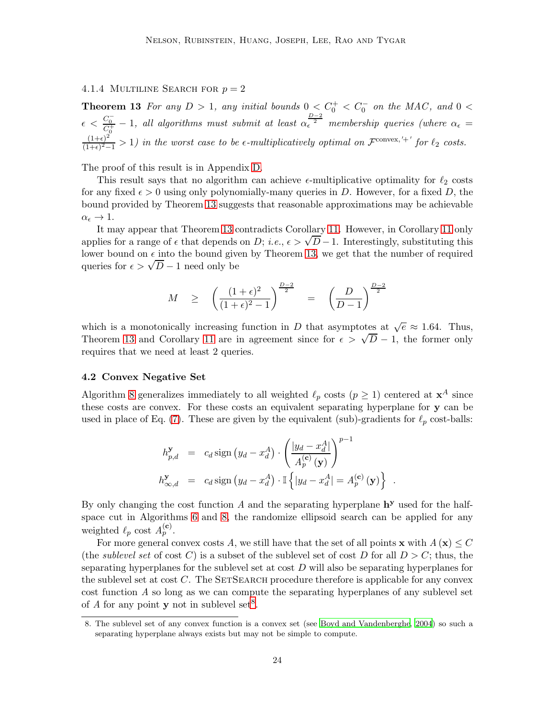# <span id="page-23-2"></span><span id="page-23-0"></span>4.1.4 MULTILINE SEARCH FOR  $p = 2$

**Theorem 13** For any  $D > 1$ , any initial bounds  $0 < C_0^+ < C_0^-$  on the MAC, and  $0 <$  $\epsilon < \frac{C_0^-}{C_0^+} - 1$ , all algorithms must submit at least  $\alpha_{\epsilon}^{\frac{D-2}{2}}$  membership queries (where  $\alpha_{\epsilon} =$  $(1+\epsilon)^2$  $\frac{(1+\epsilon)^2}{(1+\epsilon)^2-1} > 1$ ) in the worst case to be  $\epsilon$ -multiplicatively optimal on  $\mathcal{F}^{\text{convex,'}+'}$  for  $\ell_2$  costs.

The proof of this result is in Appendix [D.](#page-35-0)

This result says that no algorithm can achieve  $\epsilon$ -multiplicative optimality for  $\ell_2$  costs for any fixed  $\epsilon > 0$  using only polynomially-many queries in D. However, for a fixed D, the bound provided by Theorem [13](#page-23-2) suggests that reasonable approximations may be achievable  $\alpha_{\epsilon} \to 1.$ 

It may appear that Theorem [13](#page-23-2) contradicts Corollary [11.](#page-22-0) However, in Corollary [11](#page-22-0) only applies for a range of  $\epsilon$  that depends on D; i.e.,  $\epsilon > \sqrt{D} - 1$ . Interestingly, substituting this lower bound on  $\epsilon$  into the bound given by Theorem [13,](#page-23-2) we get that the number of required queries for  $\epsilon > \sqrt{D} - 1$  need only be

$$
M \ge \left(\frac{(1+\epsilon)^2}{(1+\epsilon)^2-1}\right)^{\frac{D-2}{2}} = \left(\frac{D}{D-1}\right)^{\frac{D-2}{2}}
$$

which is a monotonically increasing function in D that asymptotes at  $\sqrt{e} \approx 1.64$ . Thus, Theorem [13](#page-23-2) and Corollary [11](#page-22-0) are in agreement since for  $\epsilon > \sqrt{D} - 1$ , the former only requires that we need at least 2 queries.

#### <span id="page-23-1"></span>4.2 Convex Negative Set

Algorithm [8](#page-19-1) generalizes immediately to all weighted  $\ell_p$  costs  $(p \geq 1)$  centered at  $\mathbf{x}^A$  since these costs are convex. For these costs an equivalent separating hyperplane for y can be used in place of Eq. [\(7\)](#page-17-2). These are given by the equivalent (sub)-gradients for  $\ell_p$  cost-balls:

$$
h_{p,d}^{\mathbf{y}} = c_d \operatorname{sign}(y_d - x_d^A) \cdot \left(\frac{|y_d - x_d^A|}{A_p^{(\mathbf{c})}(\mathbf{y})}\right)^{p-1}
$$
  

$$
h_{\infty,d}^{\mathbf{y}} = c_d \operatorname{sign}(y_d - x_d^A) \cdot \mathbb{I} \left\{|y_d - x_d^A| = A_p^{(\mathbf{c})}(\mathbf{y})\right\}.
$$

By only changing the cost function  $A$  and the separating hyperplane  $h<sup>y</sup>$  used for the halfspace cut in Algorithms [6](#page-16-0) and [8,](#page-19-1) the randomize ellipsoid search can be applied for any weighted  $\ell_p$  cost  $A_p^{(c)}$ .

For more general convex costs A, we still have that the set of all points **x** with  $A(\mathbf{x}) \leq C$ (the *sublevel set* of cost C) is a subset of the sublevel set of cost D for all  $D > C$ ; thus, the separating hyperplanes for the sublevel set at cost  $D$  will also be separating hyperplanes for the sublevel set at cost  $C$ . The SETSEARCH procedure therefore is applicable for any convex cost function A so long as we can compute the separating hyperplanes of any sublevel set of A for any point **y** not in sublevel set<sup>[8](#page-23-3)</sup>.

<span id="page-23-3"></span><sup>8.</sup> The sublevel set of any convex function is a convex set (see [Boyd and Vandenberghe, 2004\)](#page-25-4) so such a separating hyperplane always exists but may not be simple to compute.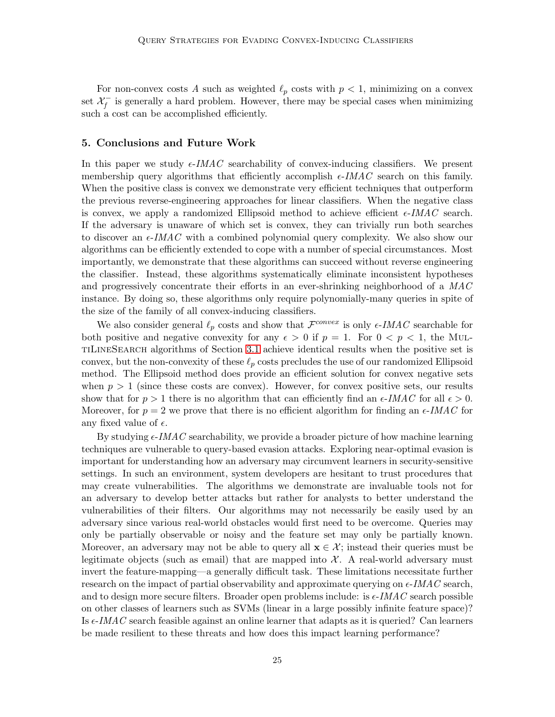For non-convex costs A such as weighted  $\ell_p$  costs with  $p < 1$ , minimizing on a convex set  $\mathcal{X}_f^-$  is generally a hard problem. However, there may be special cases when minimizing such a cost can be accomplished efficiently.

#### <span id="page-24-0"></span>5. Conclusions and Future Work

In this paper we study  $\epsilon$ -IMAC searchability of convex-inducing classifiers. We present membership query algorithms that efficiently accomplish  $\epsilon$ -*IMAC* search on this family. When the positive class is convex we demonstrate very efficient techniques that outperform the previous reverse-engineering approaches for linear classifiers. When the negative class is convex, we apply a randomized Ellipsoid method to achieve efficient  $\epsilon$ -IMAC search. If the adversary is unaware of which set is convex, they can trivially run both searches to discover an  $\epsilon$ -*IMAC* with a combined polynomial query complexity. We also show our algorithms can be efficiently extended to cope with a number of special circumstances. Most importantly, we demonstrate that these algorithms can succeed without reverse engineering the classifier. Instead, these algorithms systematically eliminate inconsistent hypotheses and progressively concentrate their efforts in an ever-shrinking neighborhood of a MAC instance. By doing so, these algorithms only require polynomially-many queries in spite of the size of the family of all convex-inducing classifiers.

We also consider general  $\ell_p$  costs and show that  $\mathcal{F}^{convex}$  is only  $\epsilon$ -IMAC searchable for both positive and negative convexity for any  $\epsilon > 0$  if  $p = 1$ . For  $0 < p < 1$ , the MuLtiLineSearch algorithms of Section [3.1](#page-9-1) achieve identical results when the positive set is convex, but the non-convexity of these  $\ell_p$  costs precludes the use of our randomized Ellipsoid method. The Ellipsoid method does provide an efficient solution for convex negative sets when  $p > 1$  (since these costs are convex). However, for convex positive sets, our results show that for  $p > 1$  there is no algorithm that can efficiently find an  $\epsilon$ -IMAC for all  $\epsilon > 0$ . Moreover, for  $p = 2$  we prove that there is no efficient algorithm for finding an  $\epsilon$ -IMAC for any fixed value of  $\epsilon$ .

By studying  $\epsilon$ -*IMAC* searchability, we provide a broader picture of how machine learning techniques are vulnerable to query-based evasion attacks. Exploring near-optimal evasion is important for understanding how an adversary may circumvent learners in security-sensitive settings. In such an environment, system developers are hesitant to trust procedures that may create vulnerabilities. The algorithms we demonstrate are invaluable tools not for an adversary to develop better attacks but rather for analysts to better understand the vulnerabilities of their filters. Our algorithms may not necessarily be easily used by an adversary since various real-world obstacles would first need to be overcome. Queries may only be partially observable or noisy and the feature set may only be partially known. Moreover, an adversary may not be able to query all  $\mathbf{x} \in \mathcal{X}$ ; instead their queries must be legitimate objects (such as email) that are mapped into  $X$ . A real-world adversary must invert the feature-mapping—a generally difficult task. These limitations necessitate further research on the impact of partial observability and approximate querying on  $\epsilon$ -IMAC search, and to design more secure filters. Broader open problems include: is  $\epsilon$ -IMAC search possible on other classes of learners such as SVMs (linear in a large possibly infinite feature space)? Is  $\epsilon$ -IMAC search feasible against an online learner that adapts as it is queried? Can learners be made resilient to these threats and how does this impact learning performance?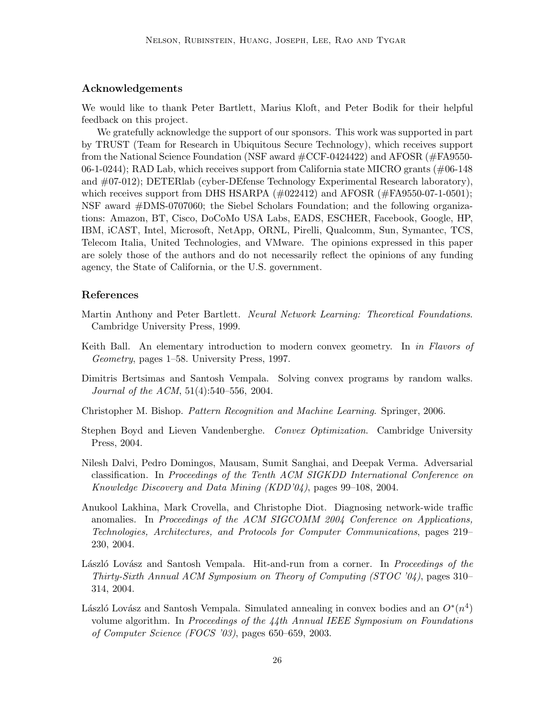## Acknowledgements

We would like to thank Peter Bartlett, Marius Kloft, and Peter Bodik for their helpful feedback on this project.

We gratefully acknowledge the support of our sponsors. This work was supported in part by TRUST (Team for Research in Ubiquitous Secure Technology), which receives support from the National Science Foundation (NSF award #CCF-0424422) and AFOSR (#FA9550- 06-1-0244); RAD Lab, which receives support from California state MICRO grants  $(\text{\#}06-148)$ and #07-012); DETERlab (cyber-DEfense Technology Experimental Research laboratory), which receives support from DHS HSARPA  $(\text{\#022412})$  and AFOSR  $(\text{\#FA9550-07-1-0501})$ ; NSF award #DMS-0707060; the Siebel Scholars Foundation; and the following organizations: Amazon, BT, Cisco, DoCoMo USA Labs, EADS, ESCHER, Facebook, Google, HP, IBM, iCAST, Intel, Microsoft, NetApp, ORNL, Pirelli, Qualcomm, Sun, Symantec, TCS, Telecom Italia, United Technologies, and VMware. The opinions expressed in this paper are solely those of the authors and do not necessarily reflect the opinions of any funding agency, the State of California, or the U.S. government.

### References

- <span id="page-25-3"></span>Martin Anthony and Peter Bartlett. Neural Network Learning: Theoretical Foundations. Cambridge University Press, 1999.
- <span id="page-25-8"></span>Keith Ball. An elementary introduction to modern convex geometry. In in Flavors of Geometry, pages 1–58. University Press, 1997.
- <span id="page-25-5"></span>Dimitris Bertsimas and Santosh Vempala. Solving convex programs by random walks. Journal of the ACM, 51(4):540–556, 2004.
- <span id="page-25-1"></span>Christopher M. Bishop. Pattern Recognition and Machine Learning. Springer, 2006.
- <span id="page-25-4"></span>Stephen Boyd and Lieven Vandenberghe. Convex Optimization. Cambridge University Press, 2004.
- <span id="page-25-2"></span>Nilesh Dalvi, Pedro Domingos, Mausam, Sumit Sanghai, and Deepak Verma. Adversarial classification. In Proceedings of the Tenth ACM SIGKDD International Conference on Knowledge Discovery and Data Mining (KDD'04), pages 99–108, 2004.
- <span id="page-25-0"></span>Anukool Lakhina, Mark Crovella, and Christophe Diot. Diagnosing network-wide traffic anomalies. In Proceedings of the ACM SIGCOMM 2004 Conference on Applications, Technologies, Architectures, and Protocols for Computer Communications, pages 219– 230, 2004.
- <span id="page-25-6"></span>László Lovász and Santosh Vempala. Hit-and-run from a corner. In *Proceedings of the* Thirty-Sixth Annual ACM Symposium on Theory of Computing (STOC '04), pages 310– 314, 2004.
- <span id="page-25-7"></span>László Lovász and Santosh Vempala. Simulated annealing in convex bodies and an  $O^*(n^4)$ volume algorithm. In Proceedings of the  $44th$  Annual IEEE Symposium on Foundations of Computer Science (FOCS '03), pages 650–659, 2003.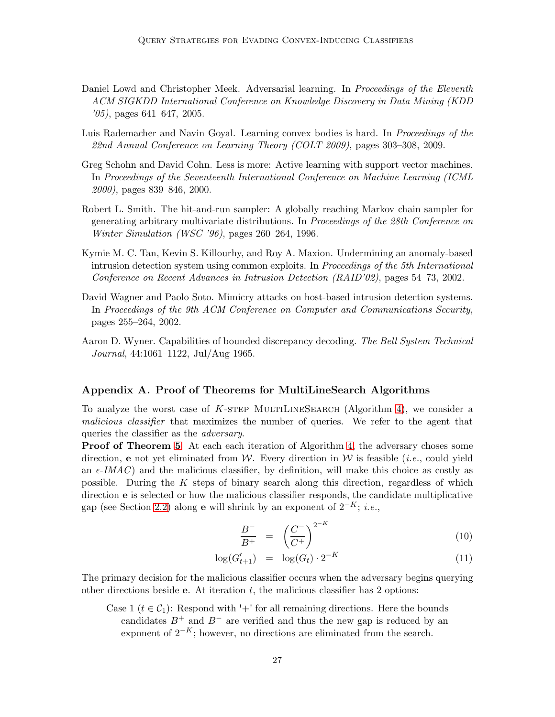- <span id="page-26-0"></span>Daniel Lowd and Christopher Meek. Adversarial learning. In Proceedings of the Eleventh ACM SIGKDD International Conference on Knowledge Discovery in Data Mining (KDD '05), pages 641–647, 2005.
- <span id="page-26-1"></span>Luis Rademacher and Navin Goyal. Learning convex bodies is hard. In *Proceedings of the* 22nd Annual Conference on Learning Theory (COLT 2009), pages 303–308, 2009.
- <span id="page-26-4"></span>Greg Schohn and David Cohn. Less is more: Active learning with support vector machines. In Proceedings of the Seventeenth International Conference on Machine Learning (ICML 2000), pages 839–846, 2000.
- <span id="page-26-6"></span>Robert L. Smith. The hit-and-run sampler: A globally reaching Markov chain sampler for generating arbitrary multivariate distributions. In Proceedings of the 28th Conference on Winter Simulation (WSC '96), pages 260–264, 1996.
- <span id="page-26-2"></span>Kymie M. C. Tan, Kevin S. Killourhy, and Roy A. Maxion. Undermining an anomaly-based intrusion detection system using common exploits. In Proceedings of the 5th International Conference on Recent Advances in Intrusion Detection (RAID'02), pages 54–73, 2002.
- <span id="page-26-3"></span>David Wagner and Paolo Soto. Mimicry attacks on host-based intrusion detection systems. In Proceedings of the 9th ACM Conference on Computer and Communications Security, pages 255–264, 2002.
- <span id="page-26-7"></span>Aaron D. Wyner. Capabilities of bounded discrepancy decoding. The Bell System Technical Journal, 44:1061–1122, Jul/Aug 1965.

### <span id="page-26-5"></span>Appendix A. Proof of Theorems for MultiLineSearch Algorithms

To analyze the worst case of K-STEP MULTILINESEARCH (Algorithm [4\)](#page-13-0), we consider a malicious classifier that maximizes the number of queries. We refer to the agent that queries the classifier as the adversary.

Proof of Theorem [5](#page-12-2) At each each iteration of Algorithm [4,](#page-13-0) the adversary choses some direction, e not yet eliminated from W. Every direction in W is feasible (*i.e.*, could yield an  $\epsilon$ -IMAC) and the malicious classifier, by definition, will make this choice as costly as possible. During the K steps of binary search along this direction, regardless of which direction e is selected or how the malicious classifier responds, the candidate multiplicative gap (see Section [2.2\)](#page-4-3) along e will shrink by an exponent of  $2^{-K}$ ; *i.e.*,

$$
\frac{B^-}{B^+} = \left(\frac{C^-}{C^+}\right)^{2^{-K}}\tag{10}
$$

$$
\log(G'_{t+1}) = \log(G_t) \cdot 2^{-K} \tag{11}
$$

The primary decision for the malicious classifier occurs when the adversary begins querying other directions beside **e**. At iteration  $t$ , the malicious classifier has 2 options:

Case 1 ( $t \in C_1$ ): Respond with '+' for all remaining directions. Here the bounds candidates  $B^+$  and  $B^-$  are verified and thus the new gap is reduced by an exponent of  $2^{-K}$ ; however, no directions are eliminated from the search.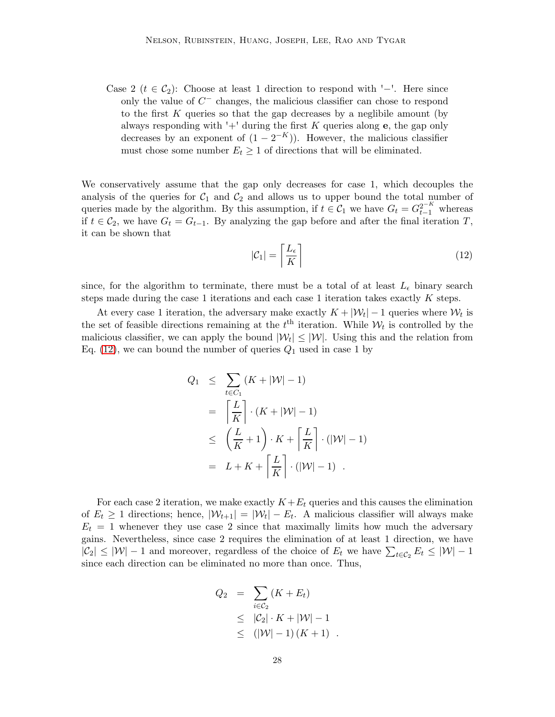Case 2 ( $t \in C_2$ ): Choose at least 1 direction to respond with '−'. Here since only the value of  $C^-$  changes, the malicious classifier can chose to respond to the first  $K$  queries so that the gap decreases by a neglibile amount (by always responding with  $+$  during the first K queries along e, the gap only decreases by an exponent of  $(1 - 2^{-K})$ ). However, the malicious classifier must chose some number  $E_t \geq 1$  of directions that will be eliminated.

We conservatively assume that the gap only decreases for case 1, which decouples the analysis of the queries for  $C_1$  and  $C_2$  and allows us to upper bound the total number of queries made by the algorithm. By this assumption, if  $t \in C_1$  we have  $G_t = G_{t-1}^{2^{-K}}$  whereas if  $t \in C_2$ , we have  $G_t = G_{t-1}$ . By analyzing the gap before and after the final iteration T, it can be shown that

<span id="page-27-0"></span>
$$
|\mathcal{C}_1| = \left\lceil \frac{L_{\epsilon}}{K} \right\rceil \tag{12}
$$

since, for the algorithm to terminate, there must be a total of at least  $L_{\epsilon}$  binary search steps made during the case 1 iterations and each case 1 iteration takes exactly  $K$  steps.

At every case 1 iteration, the adversary make exactly  $K + |\mathcal{W}_t| - 1$  queries where  $\mathcal{W}_t$  is the set of feasible directions remaining at the  $t<sup>th</sup>$  iteration. While  $W_t$  is controlled by the malicious classifier, we can apply the bound  $|\mathcal{W}_t| \leq |\mathcal{W}|$ . Using this and the relation from Eq. [\(12\)](#page-27-0), we can bound the number of queries  $Q_1$  used in case 1 by

$$
Q_1 \leq \sum_{t \in C_1} (K + |\mathcal{W}| - 1)
$$
  
=  $\left[ \frac{L}{K} \right] \cdot (K + |\mathcal{W}| - 1)$   
 $\leq \left( \frac{L}{K} + 1 \right) \cdot K + \left[ \frac{L}{K} \right] \cdot (|\mathcal{W}| - 1)$   
=  $L + K + \left[ \frac{L}{K} \right] \cdot (|\mathcal{W}| - 1)$ .

For each case 2 iteration, we make exactly  $K+E_t$  queries and this causes the elimination of  $E_t \geq 1$  directions; hence,  $|\mathcal{W}_{t+1}| = |\mathcal{W}_t| - E_t$ . A malicious classifier will always make  $E_t = 1$  whenever they use case 2 since that maximally limits how much the adversary gains. Nevertheless, since case 2 requires the elimination of at least 1 direction, we have  $|C_2| \leq |W| - 1$  and moreover, regardless of the choice of  $E_t$  we have  $\sum_{t \in C_2} E_t \leq |W| - 1$ since each direction can be eliminated no more than once. Thus,

$$
Q_2 = \sum_{i \in C_2} (K + E_t)
$$
  
\n
$$
\leq |C_2| \cdot K + |\mathcal{W}| - 1
$$
  
\n
$$
\leq (|\mathcal{W}| - 1) (K + 1) .
$$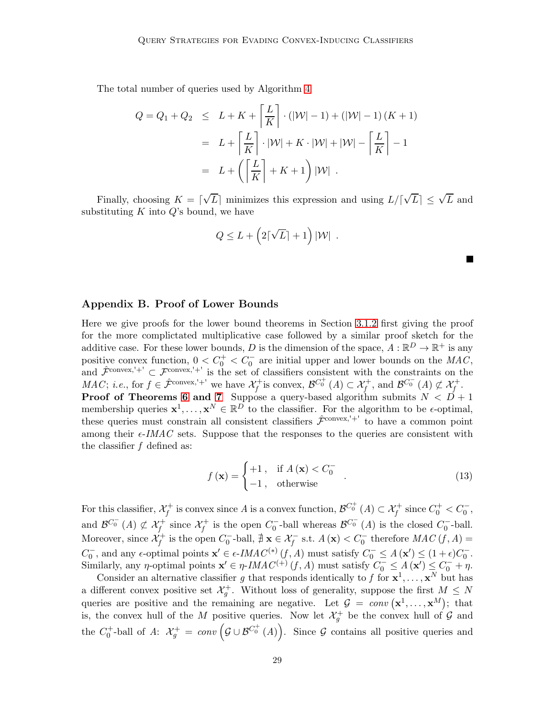The total number of queries used by Algorithm [4](#page-13-0)

$$
Q = Q_1 + Q_2 \leq L + K + \left\lceil \frac{L}{K} \right\rceil \cdot \left( |W| - 1 \right) + \left( |W| - 1 \right) \left( K + 1 \right)
$$

$$
= L + \left\lceil \frac{L}{K} \right\rceil \cdot |W| + K \cdot |W| + |W| - \left\lceil \frac{L}{K} \right\rceil - 1
$$

$$
= L + \left( \left\lceil \frac{L}{K} \right\rceil + K + 1 \right) |W|.
$$

Finally, choosing  $K = \lceil \sqrt{L} \rceil$  minimizes this expression and using  $L / \lceil \sqrt{L} \rceil \leq \sqrt{L}$  and substituting  $K$  into  $Q$ 's bound, we have

$$
Q \leq L + \left(2\lceil \sqrt{L} \rceil + 1\right)|\mathcal{W}|.
$$

# <span id="page-28-0"></span>Appendix B. Proof of Lower Bounds

Here we give proofs for the lower bound theorems in Section [3.1.2](#page-12-5) first giving the proof for the more complictated multiplicative case followed by a similar proof sketch for the additive case. For these lower bounds, D is the dimension of the space,  $A : \mathbb{R}^D \to \mathbb{R}^+$  is any positive convex function,  $0 < C_0^+ < C_0^-$  are initial upper and lower bounds on the  $MAC$ , and  $\hat{\mathcal{F}}^{convex,'+'} \subset \mathcal{F}^{convex,'+'}$  is the set of classifiers consistent with the constraints on the  $MAC; i.e., for f \in \hat{\mathcal{F}}^{convex,'+'}$  we have  $\mathcal{X}_f^+$  is convex,  $\mathcal{B}^{C_0^+}(A) \subset \mathcal{X}_f^+$ , and  $\mathcal{B}^{C_0^-}(A) \not\subset \mathcal{X}_f^+$ . **Proof of Theorems [6](#page-12-4) and [7](#page-13-1)** Suppose a query-based algorithm submits  $N < D + 1$ membership queries  $\mathbf{x}^1, \ldots, \mathbf{x}^N \in \mathbb{R}^D$  to the classifier. For the algorithm to be  $\epsilon$ -optimal, these queries must constrain all consistent classifiers  $\hat{\mathcal{F}}^{\text{convex},'+}$  to have a common point among their  $\epsilon$ -IMAC sets. Suppose that the responses to the queries are consistent with the classifier  $f$  defined as:

$$
f(\mathbf{x}) = \begin{cases} +1, & \text{if } A(\mathbf{x}) < C_0^- \\ -1, & \text{otherwise} \end{cases}
$$
 (13)

For this classifier,  $\mathcal{X}_f^+$  is convex since A is a convex function,  $\mathcal{B}^{C_0^+}(A) \subset \mathcal{X}_f^+$  since  $C_0^+ < C_0^-$ , and  $\mathcal{B}^{C_0^-}(A) \not\subset \mathcal{X}_f^+$  since  $\mathcal{X}_f^+$  is the open  $C_0^-$ -ball whereas  $\mathcal{B}^{C_0^-}(A)$  is the closed  $C_0^-$ -ball. Moreover, since  $\mathcal{X}_f^+$  is the open  $C_0^-$ -ball,  $\sharp \mathbf{x} \in \mathcal{X}_f^-$  s.t.  $A(\mathbf{x}) < C_0^-$  therefore  $MAC(f, A)$  =  $C_0^-$ , and any  $\epsilon$ -optimal points  $\mathbf{x}' \in \epsilon$ -IMA $C^{(*)}(f, A)$  must satisfy  $C_0^- \leq A(\mathbf{x}') \leq (1 + \epsilon)C_0^-$ . Similarly, any *η*-optimal points  $\mathbf{x}' \in \eta$ -IMAC<sup>(+)</sup> (f, A) must satisfy  $C_0^- \leq A(\mathbf{x}') \leq C_0^- + \eta$ .

Consider an alternative classifier g that responds identically to f for  $x^1, \ldots, x^N$  but has a different convex positive set  $\mathcal{X}^+_g$ . Without loss of generality, suppose the first  $M \leq N$ queries are positive and the remaining are negative. Let  $\mathcal{G} = conv(\mathbf{x}^1, \dots, \mathbf{x}^M)$ ; that is, the convex hull of the M positive queries. Now let  $\mathcal{X}^+_g$  be the convex hull of G and the  $C_0^+$ -ball of A:  $\mathcal{X}_g^+ = conv\left(\mathcal{G} \cup \mathcal{B}^{C_0^+}(A)\right)$ . Since  $\mathcal G$  contains all positive queries and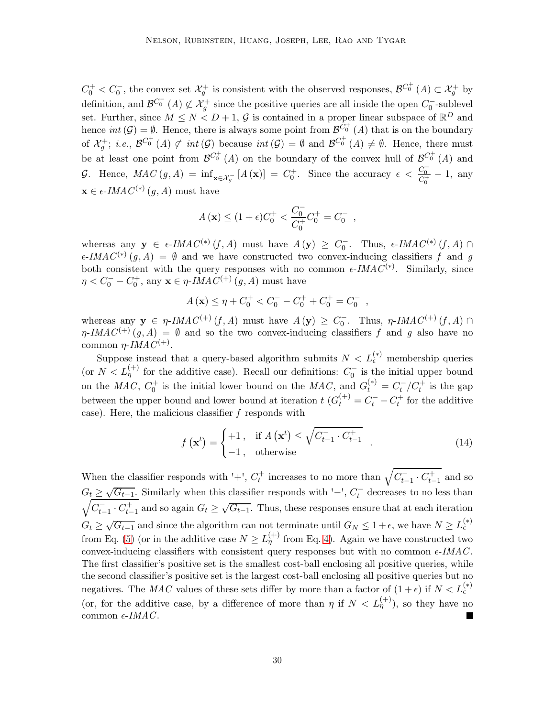$C_0^+ < C_0^-$ , the convex set  $\mathcal{X}_g^+$  is consistent with the observed responses,  $\mathcal{B}^{C_0^+}(A) \subset \mathcal{X}_g^+$  by definition, and  $\mathcal{B}^{C_0^-}(A) \not\subset \mathcal{X}_g^+$  since the positive queries are all inside the open  $C_0^-$ -sublevel set. Further, since  $M \leq N < D+1$ , G is contained in a proper linear subspace of  $\mathbb{R}^D$  and hence  $int(G) = \emptyset$ . Hence, there is always some point from  $\mathcal{B}^{\hat{C}^+}_{\omega}(A)$  that is on the boundary of  $\mathcal{X}_g^+$ ; *i.e.*,  $\mathcal{B}^{C_0^+}(A) \not\subset int(\mathcal{G})$  because  $int(\mathcal{G}) = \emptyset$  and  $\mathcal{B}^{C_0^+}(A) \neq \emptyset$ . Hence, there must be at least one point from  $\mathcal{B}^{C_0^+}(A)$  on the boundary of the convex hull of  $\mathcal{B}^{C_0^+}(A)$  and G. Hence,  $MAC(g, A) = \inf_{\mathbf{x} \in \mathcal{X}_g^-} [A(\mathbf{x})] = C_0^+$ . Since the accuracy  $\epsilon < \frac{C_0^-}{C_0^+} - 1$ , any  $\mathbf{x} \in \epsilon\text{-}IMAC^{(*)}(g, A)$  must have

$$
A(\mathbf{x}) \le (1+\epsilon)C_0^+ < \frac{C_0^-}{C_0^+}C_0^+ = C_0^- ,
$$

whereas any  $\mathbf{y} \in \epsilon\text{-}IMAC^{(*)}(f, A)$  must have  $A(\mathbf{y}) \geq C_0^-$ . Thus,  $\epsilon\text{-}IMAC^{(*)}(f, A) \cap$  $\epsilon$ -IMAC<sup>(\*)</sup>  $(g, A) = \emptyset$  and we have constructed two convex-inducing classifiers f and g both consistent with the query responses with no common  $\epsilon$ -IMAC<sup>(\*)</sup>. Similarly, since  $\eta < C_0^- - C_0^+$ , any  $\mathbf{x} \in \eta$ -*IMAC*<sup>(+)</sup> (*g*, *A*) must have

$$
A(\mathbf{x}) \le \eta + C_0^+ < C_0^- - C_0^+ + C_0^+ = C_0^- \quad ,
$$

whereas any  $y \in \eta$ -*IMAC*<sup>(+)</sup> (*f*, *A*) must have  $A(y) \ge C_0$ . Thus,  $\eta$ -*IMAC*<sup>(+)</sup> (*f*, *A*)  $\cap$  $\eta$ -IMAC<sup>(+)</sup>(g, A) =  $\emptyset$  and so the two convex-inducing classifiers f and g also have no common η-IMAC<sup>(+)</sup>.

Suppose instead that a query-based algorithm submits  $N < L_{\epsilon}^{(*)}$  membership queries (or  $N < L_{\eta}^{(+)}$  for the additive case). Recall our definitions:  $C_0^-$  is the initial upper bound on the MAC,  $C_0^+$  is the initial lower bound on the MAC, and  $G_t^{(*)} = C_t^-/C_t^+$  is the gap between the upper bound and lower bound at iteration  $t$   $(G_t^{(+)}) = C_t^- - C_t^+$  for the additive case). Here, the malicious classifier  $f$  responds with

$$
f\left(\mathbf{x}^{t}\right) = \begin{cases} +1, & \text{if } A\left(\mathbf{x}^{t}\right) \leq \sqrt{C_{t-1}^{-} \cdot C_{t-1}^{+}}\\ -1, & \text{otherwise} \end{cases}
$$
(14)

When the classifier responds with '+',  $C_t^+$  increases to no more than  $\sqrt{C_{t-1}^- \cdot C_{t-1}^+}$  and so  $G_t \geq \sqrt{G_{t-1}}$ . Similarly when this classifier responds with '−',  $C_t^-$  decreases to no less than  $\sqrt{C_{t-1}^{-} \cdot C_{t-1}^{+}}$  and so again  $G_t \ge \sqrt{G_{t-1}}$ . Thus, these responses ensure that at each iteration  $G_t \geq \sqrt{G_{t-1}}$  and since the algorithm can not terminate until  $G_N \leq 1 + \epsilon$ , we have  $N \geq L_{\epsilon}^{(*)}$ from Eq. [\(5\)](#page-5-2) (or in the additive case  $N \ge L_{\eta}^{(+)}$  from Eq. [4\)](#page-4-4). Again we have constructed two convex-inducing classifiers with consistent query responses but with no common  $\epsilon$ -IMAC. The first classifier's positive set is the smallest cost-ball enclosing all positive queries, while the second classifier's positive set is the largest cost-ball enclosing all positive queries but no negatives. The MAC values of these sets differ by more than a factor of  $(1+\epsilon)$  if  $N < L_{\epsilon}^{(*)}$ (or, for the additive case, by a difference of more than  $\eta$  if  $N < L_{\eta}^{(+)}$ ), so they have no common  $\epsilon$ -IMAC.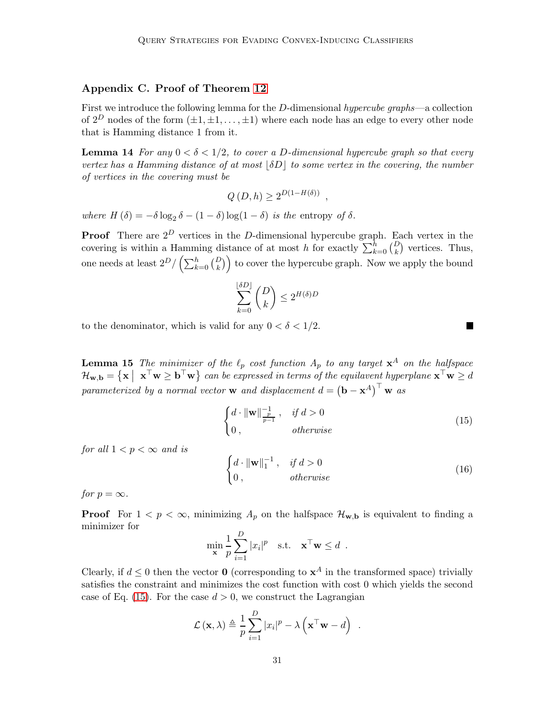# <span id="page-30-0"></span>Appendix C. Proof of Theorem [12](#page-22-1)

First we introduce the following lemma for the D-dimensional hypercube graphs—a collection of  $2^D$  nodes of the form  $(\pm 1, \pm 1, \ldots, \pm 1)$  where each node has an edge to every other node that is Hamming distance 1 from it.

<span id="page-30-4"></span>**Lemma 14** For any  $0 < \delta < 1/2$ , to cover a D-dimensional hypercube graph so that every vertex has a Hamming distance of at most  $|\delta D|$  to some vertex in the covering, the number of vertices in the covering must be

$$
Q(D,h) \ge 2^{D(1-H(\delta))},
$$

where  $H(\delta) = -\delta \log_2 \delta - (1 - \delta) \log(1 - \delta)$  is the entropy of  $\delta$ .

**Proof** There are  $2^D$  vertices in the D-dimensional hypercube graph. Each vertex in the covering is within a Hamming distance of at most h for exactly  $\sum_{k=0}^{h} {D \choose k}$  vertices. Thus, one needs at least  $2^D / (\sum_{k=0}^h {D \choose k})$  to cover the hypercube graph. Now we apply the bound

$$
\sum_{k=0}^{\lfloor \delta D \rfloor} {D \choose k} \le 2^{H(\delta)D}
$$

<span id="page-30-3"></span>to the denominator, which is valid for any  $0 < \delta < 1/2$ .

**Lemma 15** The minimizer of the  $\ell_p$  cost function  $A_p$  to any target  $\mathbf{x}^A$  on the halfspace  $\mathcal{H}_{\mathbf{w},\mathbf{b}} = \{ \mathbf{x} \mid \mathbf{x}^{\top} \mathbf{w} \geq \mathbf{b}^{\top} \mathbf{w} \}$  can be expressed in terms of the equilavent hyperplane  $\mathbf{x}^{\top} \mathbf{w} \geq d$ parameterized by a normal vector **w** and displacement  $d = (\mathbf{b} - \mathbf{x}^A)^{\top} \mathbf{w}$  as

<span id="page-30-1"></span>
$$
\begin{cases} d \cdot \|\mathbf{w}\|_{\frac{p}{p-1}}^{-1}, & \text{if } d > 0\\ 0, & \text{otherwise} \end{cases}
$$
 (15)

for all  $1 < p < \infty$  and is

<span id="page-30-2"></span>
$$
\begin{cases} d \cdot ||\mathbf{w}||_1^{-1}, & \text{if } d > 0\\ 0, & \text{otherwise} \end{cases} \tag{16}
$$

for  $p = \infty$ .

**Proof** For  $1 < p < \infty$ , minimizing  $A_p$  on the halfspace  $\mathcal{H}_{\mathbf{w},\mathbf{b}}$  is equivalent to finding a minimizer for

$$
\min_{\mathbf{x}} \frac{1}{p} \sum_{i=1}^{D} |x_i|^p \quad \text{s.t.} \quad \mathbf{x}^\top \mathbf{w} \leq d \enspace .
$$

Clearly, if  $d \leq 0$  then the vector **0** (corresponding to  $\mathbf{x}^A$  in the transformed space) trivially satisfies the constraint and minimizes the cost function with cost 0 which yields the second case of Eq. [\(15\)](#page-30-1). For the case  $d > 0$ , we construct the Lagrangian

$$
\mathcal{L}(\mathbf{x}, \lambda) \triangleq \frac{1}{p} \sum_{i=1}^{D} |x_i|^p - \lambda \left( \mathbf{x}^{\top} \mathbf{w} - d \right) .
$$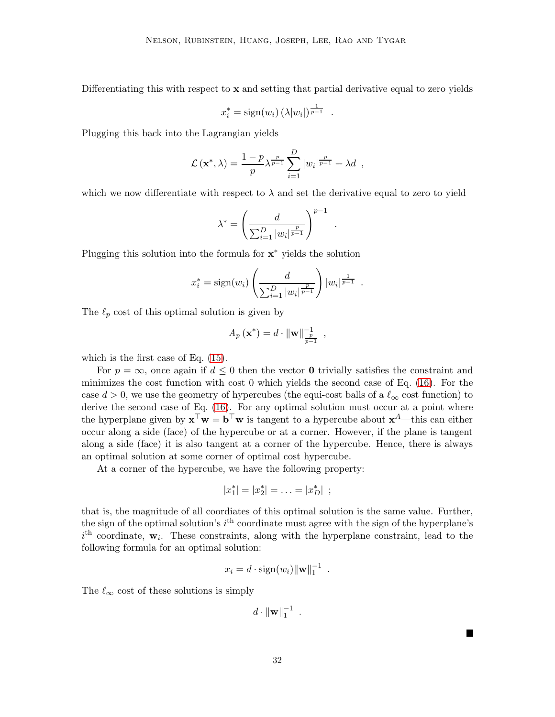Differentiating this with respect to  $x$  and setting that partial derivative equal to zero yields

$$
x_i^* = \text{sign}(w_i) \left(\lambda |w_i|\right)^{\frac{1}{p-1}}.
$$

Plugging this back into the Lagrangian yields

$$
\mathcal{L}(\mathbf{x}^*, \lambda) = \frac{1-p}{p} \lambda^{\frac{p}{p-1}} \sum_{i=1}^D |w_i|^{\frac{p}{p-1}} + \lambda d \enspace ,
$$

which we now differentiate with respect to  $\lambda$  and set the derivative equal to zero to yield

$$
\lambda^* = \left(\frac{d}{\sum_{i=1}^D |w_i|^{\frac{p}{p-1}}}\right)^{p-1} .
$$

Plugging this solution into the formula for x<sup>\*</sup> yields the solution

$$
x_i^* = sign(w_i) \left(\frac{d}{\sum_{i=1}^D |w_i|^{\frac{p}{p-1}}}\right) |w_i|^{\frac{1}{p-1}}.
$$

The  $\ell_p$  cost of this optimal solution is given by

$$
A_p(\mathbf{x}^*) = d \cdot ||\mathbf{w}||_{\frac{p}{p-1}}^{-1} ,
$$

which is the first case of Eq. [\(15\)](#page-30-1).

For  $p = \infty$ , once again if  $d \leq 0$  then the vector **0** trivially satisfies the constraint and minimizes the cost function with cost 0 which yields the second case of Eq. [\(16\)](#page-30-2). For the case  $d > 0$ , we use the geometry of hypercubes (the equi-cost balls of a  $\ell_{\infty}$  cost function) to derive the second case of Eq. [\(16\)](#page-30-2). For any optimal solution must occur at a point where the hyperplane given by  $\mathbf{x}^\top \mathbf{w} = \mathbf{b}^\top \mathbf{w}$  is tangent to a hypercube about  $\mathbf{x}^A$ —this can either occur along a side (face) of the hypercube or at a corner. However, if the plane is tangent along a side (face) it is also tangent at a corner of the hypercube. Hence, there is always an optimal solution at some corner of optimal cost hypercube.

At a corner of the hypercube, we have the following property:

$$
|x_1^*| = |x_2^*| = \ldots = |x_D^*| \, ;
$$

that is, the magnitude of all coordiates of this optimal solution is the same value. Further, the sign of the optimal solution's  $i<sup>th</sup>$  coordinate must agree with the sign of the hyperplane's  $i<sup>th</sup>$  coordinate,  $\mathbf{w}_i$ . These constraints, along with the hyperplane constraint, lead to the following formula for an optimal solution:

$$
x_i = d \cdot \text{sign}(w_i) ||\mathbf{w}||_1^{-1} .
$$

The  $\ell_{\infty}$  cost of these solutions is simply

 $d \cdot ||\mathbf{w}||_1^{-1}$ .

32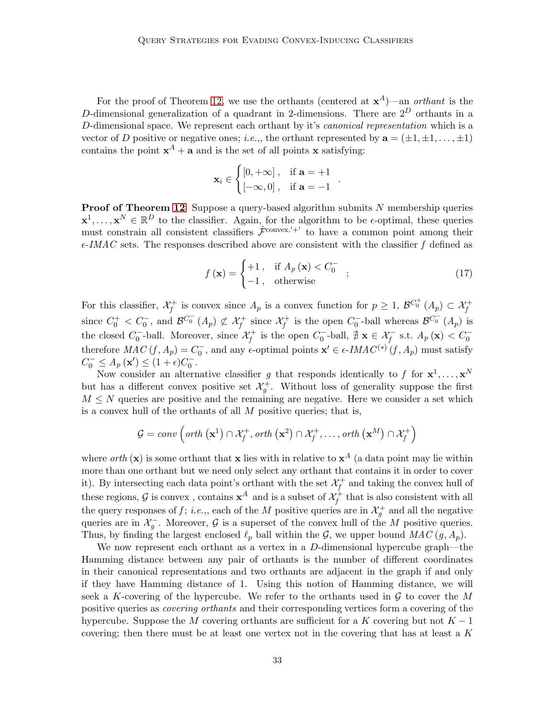For the proof of Theorem [12,](#page-22-1) we use the orthants (centered at  $x^A$ )—an *orthant* is the D-dimensional generalization of a quadrant in 2-dimensions. There are  $2^D$  orthants in a D-dimensional space. We represent each orthant by it's *canonical representation* which is a vector of D positive or negative ones; *i.e.*,, the orthant represented by  $\mathbf{a} = (\pm 1, \pm 1, \dots, \pm 1)$ contains the point  $x^A + a$  and is the set of all points x satisfying:

$$
\mathbf{x}_i \in \begin{cases} [0, +\infty], & \text{if } \mathbf{a} = +1 \\ [-\infty, 0], & \text{if } \mathbf{a} = -1 \end{cases}
$$

**Proof of Theorem [12](#page-22-1)** Suppose a query-based algorithm submits  $N$  membership queries  $\mathbf{x}^1, \ldots, \mathbf{x}^N \in \mathbb{R}^D$  to the classifier. Again, for the algorithm to be  $\epsilon$ -optimal, these queries must constrain all consistent classifiers  $\hat{\mathcal{F}}^{\text{convex},'+'}$  to have a common point among their  $\epsilon$ -IMAC sets. The responses described above are consistent with the classifier f defined as

$$
f(\mathbf{x}) = \begin{cases} +1, & \text{if } A_p(\mathbf{x}) < C_0^- \\ -1, & \text{otherwise} \end{cases}
$$
 (17)

.

For this classifier,  $\mathcal{X}_f^+$  is convex since  $A_p$  is a convex function for  $p \geq 1$ ,  $\mathcal{B}^{C_0^+}(A_p) \subset \mathcal{X}_f^+$ since  $C_0^+ < C_0^-$ , and  $\mathcal{B}^{C_0^-}(A_p) \not\subset \mathcal{X}_f^+$  since  $\mathcal{X}_f^+$  is the open  $C_0^-$ -ball whereas  $\mathcal{B}^{C_0^-}(A_p)$  is the closed  $C_0^-$ -ball. Moreover, since  $\mathcal{X}_f^+$  is the open  $C_0^-$ -ball,  $\sharp \mathbf{x} \in \mathcal{X}_f^-$  s.t.  $A_p(\mathbf{x}) < C_0^-$ therefore  $MAC(f, A_p) = C_0^-$ , and any  $\epsilon$ -optimal points  $\mathbf{x}' \in \epsilon$ -IMA $C^{(*)}(f, A_p)$  must satisfy  $C_0^- \le A_p(\mathbf{x}') \le (1+\epsilon)C_0^-$ .

Now consider an alternative classifier g that responds identically to f for  $x^1, \ldots, x^N$ but has a different convex positive set  $\mathcal{X}^+_g$ . Without loss of generality suppose the first  $M \leq N$  queries are positive and the remaining are negative. Here we consider a set which is a convex hull of the orthants of all  $M$  positive queries; that is,

$$
\mathcal{G} = conv\left( orth\left( \mathbf{x}^1 \right) \cap \mathcal{X}_f^+, orth\left( \mathbf{x}^2 \right) \cap \mathcal{X}_f^+, \ldots, orth\left( \mathbf{x}^M \right) \cap \mathcal{X}_f^+ \right)
$$

where *orth* (**x**) is some orthant that **x** lies with in relative to  $x^A$  (a data point may lie within more than one orthant but we need only select any orthant that contains it in order to cover it). By intersecting each data point's orthant with the set  $\mathcal{X}_f^+$  and taking the convex hull of these regions,  $G$  is convex, contains  $x^A$  and is a subset of  $\mathcal{X}_f^+$  that is also consistent with all the query responses of f; *i.e.*,, each of the M positive queries are in  $\mathcal{X}_g^+$  and all the negative queries are in  $\mathcal{X}_g^-$ . Moreover, G is a superset of the convex hull of the M positive queries. Thus, by finding the largest enclosed  $\ell_p$  ball within the G, we upper bound MAC  $(g, A_p)$ .

We now represent each orthant as a vertex in a D-dimensional hypercube graph—the Hamming distance between any pair of orthants is the number of different coordinates in their canonical representations and two orthants are adjacent in the graph if and only if they have Hamming distance of 1. Using this notion of Hamming distance, we will seek a K-covering of the hypercube. We refer to the orthants used in  $\mathcal G$  to cover the M positive queries as covering orthants and their corresponding vertices form a covering of the hypercube. Suppose the M covering orthants are sufficient for a K covering but not  $K-1$ covering; then there must be at least one vertex not in the covering that has at least a  $K$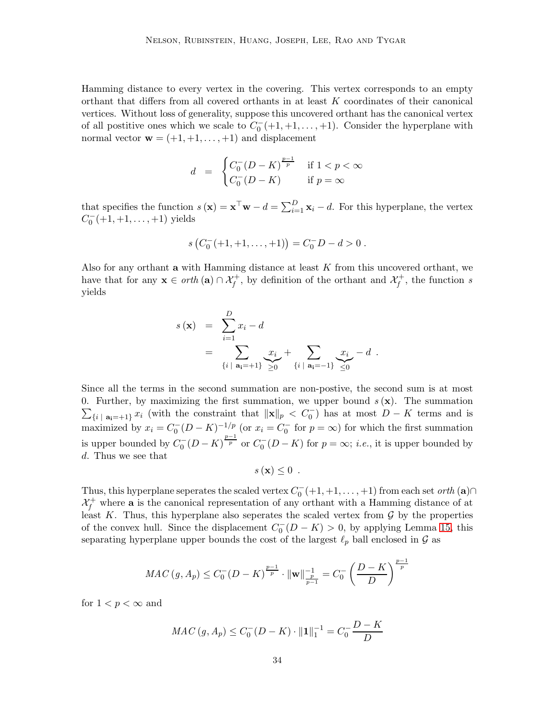Hamming distance to every vertex in the covering. This vertex corresponds to an empty orthant that differs from all covered orthants in at least K coordinates of their canonical vertices. Without loss of generality, suppose this uncovered orthant has the canonical vertex of all postitive ones which we scale to  $C_0^-(+1, +1, \ldots, +1)$ . Consider the hyperplane with normal vector  $\mathbf{w} = (+1, +1, \dots, +1)$  and displacement

$$
d = \begin{cases} C_0^-(D-K)^{\frac{p-1}{p}} & \text{if } 1 < p < \infty \\ C_0^-(D-K) & \text{if } p = \infty \end{cases}
$$

that specifies the function  $s(\mathbf{x}) = \mathbf{x}^\top \mathbf{w} - d = \sum_{i=1}^D \mathbf{x}_i - d$ . For this hyperplane, the vertex  $C_0^-(+1,+1,\ldots,+1)$  yields

$$
s(C_0^-(+1,+1,\ldots,+1)\big) = C_0^- D - d > 0.
$$

Also for any orthant  $a$  with Hamming distance at least  $K$  from this uncovered orthant, we have that for any  $\mathbf{x} \in \text{orth } (\mathbf{a}) \cap \mathcal{X}_{f}^{+}$ , by definition of the orthant and  $\mathcal{X}_{f}^{+}$ , the function s yields

$$
s(\mathbf{x}) = \sum_{i=1}^{D} x_i - d
$$
  
= 
$$
\sum_{\{i \mid \mathbf{a}_i = +1\}} \sum_{i=1}^{D} x_i + \sum_{\{i \mid \mathbf{a}_i = -1\}} \sum_{i=1}^{D} x_i - d.
$$

Since all the terms in the second summation are non-postive, the second sum is at most  $\sum_{i}$ <sub>i</sub> | a<sub>i</sub>=+1} x<sub>i</sub> (with the constraint that  $\|\mathbf{x}\|_p < C_0^-$ ) has at most  $D - K$  terms and is 0. Further, by maximizing the first summation, we upper bound  $s(\mathbf{x})$ . The summation maximized by  $x_i = C_0^{-} (D - K)^{-1/p}$  (or  $x_i = C_0^{-}$  for  $p = \infty$ ) for which the first summation is upper bounded by  $C_0$ <sup>-</sup> $(D - K)^{\frac{p-1}{p}}$  or  $C_0$ <sup>-</sup> $(D - K)$  for  $p = \infty$ ; *i.e.*, it is upper bounded by d. Thus we see that

$$
s\left(\mathbf{x}\right)\leq 0\enspace.
$$

Thus, this hyperplane seperates the scaled vertex  $C_0^-(+1,+1,\ldots,+1)$  from each set orth  $(\mathbf{a}) \cap$  $\mathcal{X}_f^+$  where **a** is the canonical representation of any orthant with a Hamming distance of at least K. Thus, this hyperplane also seperates the scaled vertex from  $\mathcal G$  by the properties of the convex hull. Since the displacement  $C_0^- (D - K) > 0$ , by applying Lemma [15,](#page-30-3) this separating hyperplane upper bounds the cost of the largest  $\ell_p$  ball enclosed in  $\mathcal G$  as

$$
MAC(g, A_p) \le C_0^{-} (D - K)^{\frac{p-1}{p}} \cdot ||\mathbf{w}||_{\frac{p}{p-1}}^{-1} = C_0^{-} \left(\frac{D - K}{D}\right)^{\frac{p-1}{p}}
$$

for  $1 < p < \infty$  and

$$
MAC(g, A_p) \le C_0^-(D - K) \cdot ||1||_1^{-1} = C_0^- \frac{D - K}{D}
$$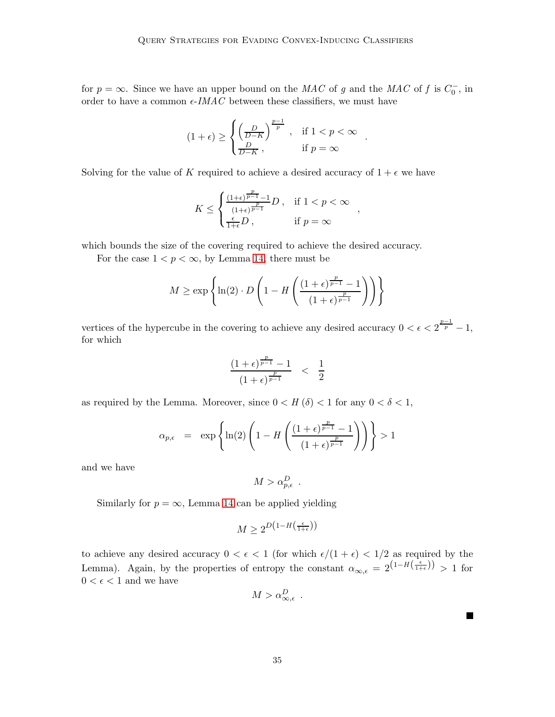for  $p = \infty$ . Since we have an upper bound on the MAC of g and the MAC of f is  $C_0^-$ , in order to have a common  $\epsilon$ -IMAC between these classifiers, we must have

$$
(1+\epsilon)\geq \begin{cases} \left(\frac{D}{D-K}\right)^{\frac{p-1}{p}}\ , & \text{if } 1
$$

Solving for the value of K required to achieve a desired accuracy of  $1 + \epsilon$  we have

$$
K \leq \begin{cases} \frac{(1+\epsilon)^{\frac{p}{p-1}}-1}{(1+\epsilon)^{\frac{p}{p-1}}}D\,, & \text{if } 1 < p < \infty \\ \frac{\epsilon}{1+\epsilon}D\,, & \text{if } p = \infty \end{cases}
$$

,

П

which bounds the size of the covering required to achieve the desired accuracy.

For the case  $1 < p < \infty$ , by Lemma [14,](#page-30-4) there must be

$$
M \ge \exp\left\{\ln(2) \cdot D\left(1 - H\left(\frac{(1+\epsilon)^{\frac{p}{p-1}} - 1}{(1+\epsilon)^{\frac{p}{p-1}}}\right)\right)\right\}
$$

vertices of the hypercube in the covering to achieve any desired accuracy  $0 < \epsilon < 2^{\frac{p-1}{p}} - 1$ , for which

$$
\frac{(1+\epsilon)^{\frac{p}{p-1}}-1}{(1+\epsilon)^{\frac{p}{p-1}}} < \frac{1}{2}
$$

as required by the Lemma. Moreover, since  $0 < H(\delta) < 1$  for any  $0 < \delta < 1$ ,

$$
\alpha_{p,\epsilon} = \exp\left\{\ln(2)\left(1 - H\left(\frac{(1+\epsilon)^{\frac{p}{p-1}} - 1}{(1+\epsilon)^{\frac{p}{p-1}}}\right)\right)\right\} > 1
$$

and we have

$$
M > \alpha_{p,\epsilon}^D .
$$

Similarly for  $p = \infty$ , Lemma [14](#page-30-4) can be applied yielding

$$
M \ge 2^{D\left(1 - H\left(\frac{\epsilon}{1 + \epsilon}\right)\right)}
$$

to achieve any desired accuracy  $0 < \epsilon < 1$  (for which  $\epsilon/(1+\epsilon) < 1/2$  as required by the Lemma). Again, by the properties of entropy the constant  $\alpha_{\infty,\epsilon} = 2^{(1-H(\frac{\epsilon}{1+\epsilon}))} > 1$  for  $0<\epsilon<1$  and we have

$$
M > \alpha_{\infty, \epsilon}^D .
$$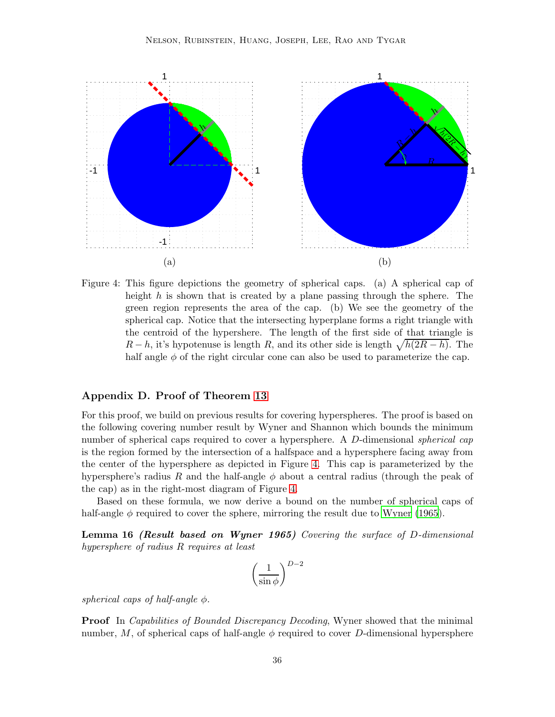

<span id="page-35-1"></span>Figure 4: This figure depictions the geometry of spherical caps. (a) A spherical cap of height h is shown that is created by a plane passing through the sphere. The green region represents the area of the cap. (b) We see the geometry of the spherical cap. Notice that the intersecting hyperplane forms a right triangle with the centroid of the hypershere. The length of the first side of that triangle is  $R - h$ , it's hypotenuse is length R, and its other side is length  $\sqrt{h(2R - h)}$ . The half angle  $\phi$  of the right circular cone can also be used to parameterize the cap.

# <span id="page-35-0"></span>Appendix D. Proof of Theorem [13](#page-23-2)

For this proof, we build on previous results for covering hyperspheres. The proof is based on the following covering number result by Wyner and Shannon which bounds the minimum number of spherical caps required to cover a hypersphere. A D-dimensional *spherical cap* is the region formed by the intersection of a halfspace and a hypersphere facing away from the center of the hypersphere as depicted in Figure [4.](#page-35-1) This cap is parameterized by the hypersphere's radius R and the half-angle  $\phi$  about a central radius (through the peak of the cap) as in the right-most diagram of Figure [4.](#page-35-1)

<span id="page-35-2"></span>Based on these formula, we now derive a bound on the number of spherical caps of half-angle  $\phi$  required to cover the sphere, mirroring the result due to [Wyner \(1965\)](#page-26-7).

Lemma 16 (Result based on Wyner 1965) Covering the surface of D-dimensional hypersphere of radius R requires at least

$$
\left(\frac{1}{\sin\phi}\right)^{D-2}
$$

spherical caps of half-angle  $\phi$ .

**Proof** In *Capabilities of Bounded Discrepancy Decoding*, Wyner showed that the minimal number, M, of spherical caps of half-angle  $\phi$  required to cover D-dimensional hypersphere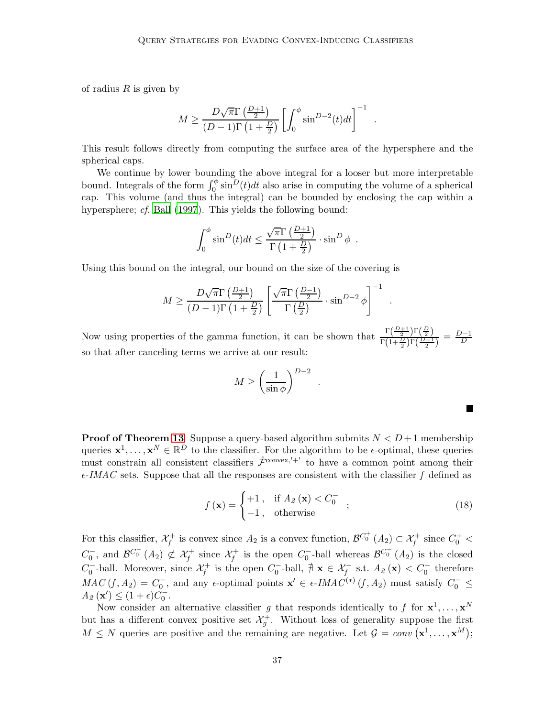of radius  $R$  is given by

$$
M \ge \frac{D\sqrt{\pi}\Gamma\left(\frac{D+1}{2}\right)}{(D-1)\Gamma\left(1+\frac{D}{2}\right)} \left[\int_0^{\phi} \sin^{D-2}(t)dt\right]^{-1} .
$$

This result follows directly from computing the surface area of the hypersphere and the spherical caps.

We continue by lower bounding the above integral for a looser but more interpretable bound. Integrals of the form  $\int_0^{\phi} \sin^D(t) dt$  also arise in computing the volume of a spherical cap. This volume (and thus the integral) can be bounded by enclosing the cap within a hypersphere; *cf.* [Ball \(1997](#page-25-8)). This yields the following bound:

$$
\int_0^{\phi} \sin^D(t)dt \le \frac{\sqrt{\pi}\Gamma\left(\frac{D+1}{2}\right)}{\Gamma\left(1+\frac{D}{2}\right)} \cdot \sin^D \phi.
$$

Using this bound on the integral, our bound on the size of the covering is

$$
M \ge \frac{D\sqrt{\pi}\Gamma\left(\frac{D+1}{2}\right)}{(D-1)\Gamma\left(1+\frac{D}{2}\right)} \left[\frac{\sqrt{\pi}\Gamma\left(\frac{D-1}{2}\right)}{\Gamma\left(\frac{D}{2}\right)} \cdot \sin^{D-2}\phi\right]^{-1}
$$

Now using properties of the gamma function, it can be shown that  $\frac{\Gamma(\frac{D+1}{2})\Gamma(\frac{D}{2})}{\Gamma(1)}$  $\frac{\Gamma(\frac{D}{2})\Gamma(\frac{D-1}{2})}{\Gamma(1+\frac{D}{2})\Gamma(\frac{D-1}{2})} = \frac{D-1}{D}$ D so that after canceling terms we arrive at our result:

$$
M \ge \left(\frac{1}{\sin \phi}\right)^{D-2}
$$

**Proof of Theorem [13](#page-23-2)** Suppose a query-based algorithm submits  $N < D+1$  membership queries  $\mathbf{x}^1, \ldots, \mathbf{x}^N \in \mathbb{R}^D$  to the classifier. For the algorithm to be  $\epsilon$ -optimal, these queries must constrain all consistent classifiers  $\hat{\mathcal{F}}^{\text{convex},'+'}$  to have a common point among their  $\epsilon$ -IMAC sets. Suppose that all the responses are consistent with the classifier f defined as

$$
f(\mathbf{x}) = \begin{cases} +1, & \text{if } A_2(\mathbf{x}) < C_0^- \\ -1, & \text{otherwise} \end{cases} \tag{18}
$$

.

.

 $\blacksquare$ 

For this classifier,  $\mathcal{X}_f^+$  is convex since  $A_2$  is a convex function,  $\mathcal{B}^{C_0^+}(A_2) \subset \mathcal{X}_f^+$  since  $C_0^+$  $C_0^-$ , and  $\mathcal{B}^{C_0^-}(A_2) \not\subset \mathcal{X}_f^+$  since  $\mathcal{X}_f^+$  is the open  $C_0^-$ -ball whereas  $\mathcal{B}^{C_0^-}(A_2)$  is the closed  $C_0^-$ -ball. Moreover, since  $\mathcal{X}_f^+$  is the open  $C_0^-$ -ball,  $\sharp \mathbf{x} \in \mathcal{X}_f^-$  s.t.  $A_2(\mathbf{x}) < C_0^-$  therefore  $MAC(f, A_2) = C_0^-$ , and any  $\epsilon$ -optimal points  $\mathbf{x}' \in \epsilon$ -IMAC<sup>(\*)</sup>  $(f, A_2)$  must satisfy  $C_0^- \leq$  $A_2(\mathbf{x}') \leq (1+\epsilon)C_0^{-}.$ 

Now consider an alternative classifier g that responds identically to f for  $x^1, \ldots, x^N$ but has a different convex positive set  $\mathcal{X}^+_g$ . Without loss of generality suppose the first  $M \leq N$  queries are positive and the remaining are negative. Let  $\mathcal{G} = conv(\mathbf{x}^1, \dots, \mathbf{x}^M);$